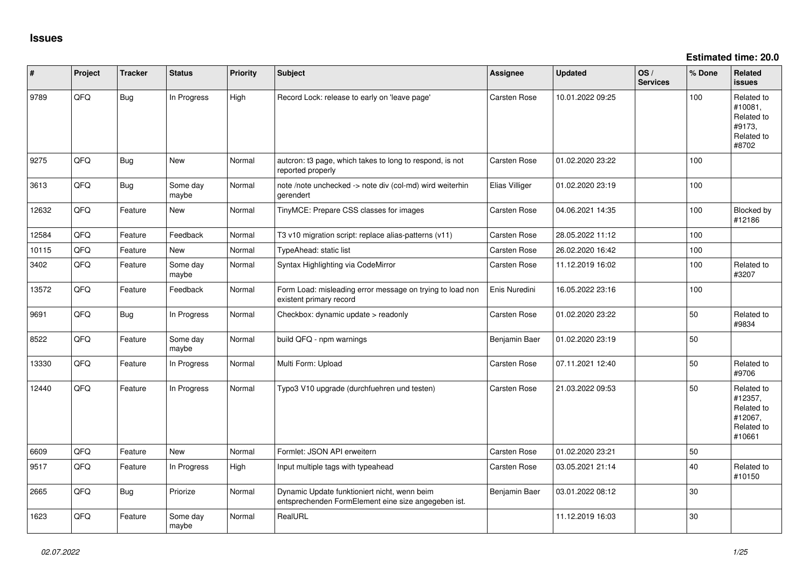**Estimated time: 20.0**

| #     | Project | <b>Tracker</b> | <b>Status</b>     | <b>Priority</b> | <b>Subject</b>                                                                                      | <b>Assignee</b> | <b>Updated</b>   | OS/<br><b>Services</b> | % Done | Related<br><b>issues</b>                                               |
|-------|---------|----------------|-------------------|-----------------|-----------------------------------------------------------------------------------------------------|-----------------|------------------|------------------------|--------|------------------------------------------------------------------------|
| 9789  | QFQ     | Bug            | In Progress       | High            | Record Lock: release to early on 'leave page'                                                       | Carsten Rose    | 10.01.2022 09:25 |                        | 100    | Related to<br>#10081,<br>Related to<br>#9173.<br>Related to<br>#8702   |
| 9275  | QFQ     | Bug            | <b>New</b>        | Normal          | autcron: t3 page, which takes to long to respond, is not<br>reported properly                       | Carsten Rose    | 01.02.2020 23:22 |                        | 100    |                                                                        |
| 3613  | QFQ     | Bug            | Some day<br>maybe | Normal          | note /note unchecked -> note div (col-md) wird weiterhin<br>gerendert                               | Elias Villiger  | 01.02.2020 23:19 |                        | 100    |                                                                        |
| 12632 | QFQ     | Feature        | <b>New</b>        | Normal          | TinyMCE: Prepare CSS classes for images                                                             | Carsten Rose    | 04.06.2021 14:35 |                        | 100    | Blocked by<br>#12186                                                   |
| 12584 | QFQ     | Feature        | Feedback          | Normal          | T3 v10 migration script: replace alias-patterns (v11)                                               | Carsten Rose    | 28.05.2022 11:12 |                        | 100    |                                                                        |
| 10115 | QFQ     | Feature        | <b>New</b>        | Normal          | TypeAhead: static list                                                                              | Carsten Rose    | 26.02.2020 16:42 |                        | 100    |                                                                        |
| 3402  | QFQ     | Feature        | Some day<br>maybe | Normal          | Syntax Highlighting via CodeMirror                                                                  | Carsten Rose    | 11.12.2019 16:02 |                        | 100    | Related to<br>#3207                                                    |
| 13572 | QFQ     | Feature        | Feedback          | Normal          | Form Load: misleading error message on trying to load non<br>existent primary record                | Enis Nuredini   | 16.05.2022 23:16 |                        | 100    |                                                                        |
| 9691  | QFQ     | <b>Bug</b>     | In Progress       | Normal          | Checkbox: dynamic update > readonly                                                                 | Carsten Rose    | 01.02.2020 23:22 |                        | 50     | Related to<br>#9834                                                    |
| 8522  | QFQ     | Feature        | Some day<br>maybe | Normal          | build QFQ - npm warnings                                                                            | Benjamin Baer   | 01.02.2020 23:19 |                        | 50     |                                                                        |
| 13330 | QFQ     | Feature        | In Progress       | Normal          | Multi Form: Upload                                                                                  | Carsten Rose    | 07.11.2021 12:40 |                        | 50     | Related to<br>#9706                                                    |
| 12440 | QFQ     | Feature        | In Progress       | Normal          | Typo3 V10 upgrade (durchfuehren und testen)                                                         | Carsten Rose    | 21.03.2022 09:53 |                        | 50     | Related to<br>#12357,<br>Related to<br>#12067,<br>Related to<br>#10661 |
| 6609  | QFQ     | Feature        | <b>New</b>        | Normal          | Formlet: JSON API erweitern                                                                         | Carsten Rose    | 01.02.2020 23:21 |                        | 50     |                                                                        |
| 9517  | QFQ     | Feature        | In Progress       | High            | Input multiple tags with typeahead                                                                  | Carsten Rose    | 03.05.2021 21:14 |                        | 40     | Related to<br>#10150                                                   |
| 2665  | QFQ     | Bug            | Priorize          | Normal          | Dynamic Update funktioniert nicht, wenn beim<br>entsprechenden FormElement eine size angegeben ist. | Benjamin Baer   | 03.01.2022 08:12 |                        | 30     |                                                                        |
| 1623  | QFQ     | Feature        | Some day<br>maybe | Normal          | RealURL                                                                                             |                 | 11.12.2019 16:03 |                        | 30     |                                                                        |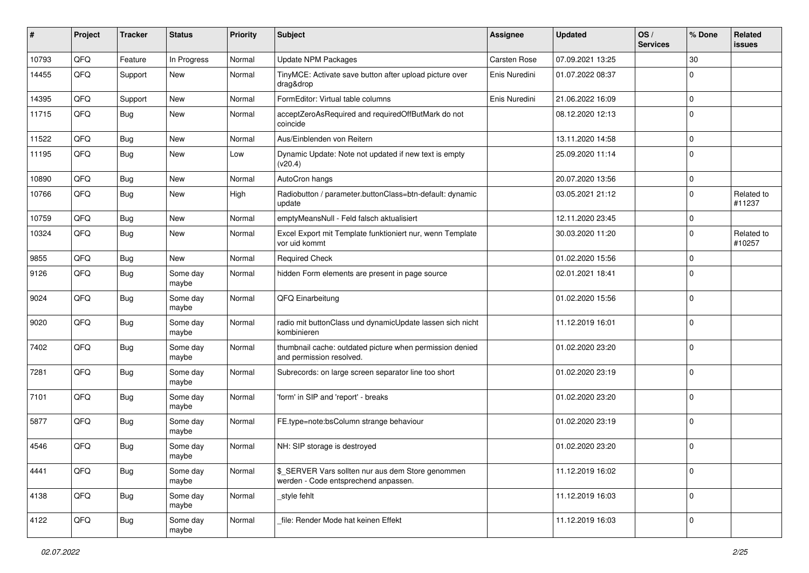| #     | Project | <b>Tracker</b> | <b>Status</b>     | <b>Priority</b> | Subject                                                                                   | Assignee      | <b>Updated</b>   | OS/<br><b>Services</b> | % Done      | Related<br>issues    |
|-------|---------|----------------|-------------------|-----------------|-------------------------------------------------------------------------------------------|---------------|------------------|------------------------|-------------|----------------------|
| 10793 | QFQ     | Feature        | In Progress       | Normal          | Update NPM Packages                                                                       | Carsten Rose  | 07.09.2021 13:25 |                        | 30          |                      |
| 14455 | QFQ     | Support        | New               | Normal          | TinyMCE: Activate save button after upload picture over<br>drag&drop                      | Enis Nuredini | 01.07.2022 08:37 |                        | $\Omega$    |                      |
| 14395 | QFQ     | Support        | New               | Normal          | FormEditor: Virtual table columns                                                         | Enis Nuredini | 21.06.2022 16:09 |                        | $\mathbf 0$ |                      |
| 11715 | QFQ     | <b>Bug</b>     | New               | Normal          | acceptZeroAsRequired and requiredOffButMark do not<br>coincide                            |               | 08.12.2020 12:13 |                        | $\Omega$    |                      |
| 11522 | QFQ     | Bug            | New               | Normal          | Aus/Einblenden von Reitern                                                                |               | 13.11.2020 14:58 |                        | $\mathbf 0$ |                      |
| 11195 | QFQ     | <b>Bug</b>     | <b>New</b>        | Low             | Dynamic Update: Note not updated if new text is empty<br>(v20.4)                          |               | 25.09.2020 11:14 |                        | $\Omega$    |                      |
| 10890 | QFQ     | <b>Bug</b>     | New               | Normal          | AutoCron hangs                                                                            |               | 20.07.2020 13:56 |                        | $\mathbf 0$ |                      |
| 10766 | QFQ     | <b>Bug</b>     | New               | High            | Radiobutton / parameter.buttonClass=btn-default: dynamic<br>update                        |               | 03.05.2021 21:12 |                        | $\mathbf 0$ | Related to<br>#11237 |
| 10759 | QFQ     | <b>Bug</b>     | New               | Normal          | emptyMeansNull - Feld falsch aktualisiert                                                 |               | 12.11.2020 23:45 |                        | $\mathbf 0$ |                      |
| 10324 | QFQ     | <b>Bug</b>     | New               | Normal          | Excel Export mit Template funktioniert nur, wenn Template<br>vor uid kommt                |               | 30.03.2020 11:20 |                        | $\Omega$    | Related to<br>#10257 |
| 9855  | QFQ     | <b>Bug</b>     | New               | Normal          | <b>Required Check</b>                                                                     |               | 01.02.2020 15:56 |                        | 0           |                      |
| 9126  | QFQ     | <b>Bug</b>     | Some day<br>maybe | Normal          | hidden Form elements are present in page source                                           |               | 02.01.2021 18:41 |                        | $\Omega$    |                      |
| 9024  | QFQ     | <b>Bug</b>     | Some day<br>maybe | Normal          | QFQ Einarbeitung                                                                          |               | 01.02.2020 15:56 |                        | $\Omega$    |                      |
| 9020  | QFQ     | <b>Bug</b>     | Some day<br>maybe | Normal          | radio mit buttonClass und dynamicUpdate lassen sich nicht<br>kombinieren                  |               | 11.12.2019 16:01 |                        | $\mathbf 0$ |                      |
| 7402  | QFQ     | <b>Bug</b>     | Some day<br>maybe | Normal          | thumbnail cache: outdated picture when permission denied<br>and permission resolved.      |               | 01.02.2020 23:20 |                        | $\mathbf 0$ |                      |
| 7281  | QFQ     | <b>Bug</b>     | Some day<br>maybe | Normal          | Subrecords: on large screen separator line too short                                      |               | 01.02.2020 23:19 |                        | $\mathbf 0$ |                      |
| 7101  | QFQ     | <b>Bug</b>     | Some day<br>maybe | Normal          | 'form' in SIP and 'report' - breaks                                                       |               | 01.02.2020 23:20 |                        | $\Omega$    |                      |
| 5877  | QFQ     | <b>Bug</b>     | Some day<br>maybe | Normal          | FE.type=note:bsColumn strange behaviour                                                   |               | 01.02.2020 23:19 |                        | $\mathbf 0$ |                      |
| 4546  | QFQ     | <b>Bug</b>     | Some day<br>maybe | Normal          | NH: SIP storage is destroyed                                                              |               | 01.02.2020 23:20 |                        | $\mathbf 0$ |                      |
| 4441  | QFQ     | <b>Bug</b>     | Some day<br>maybe | Normal          | \$ SERVER Vars sollten nur aus dem Store genommen<br>werden - Code entsprechend anpassen. |               | 11.12.2019 16:02 |                        | $\mathbf 0$ |                      |
| 4138  | QFQ     | <b>Bug</b>     | Some day<br>maybe | Normal          | _style fehlt                                                                              |               | 11.12.2019 16:03 |                        | $\mathbf 0$ |                      |
| 4122  | QFQ     | Bug            | Some day<br>maybe | Normal          | file: Render Mode hat keinen Effekt                                                       |               | 11.12.2019 16:03 |                        | 0           |                      |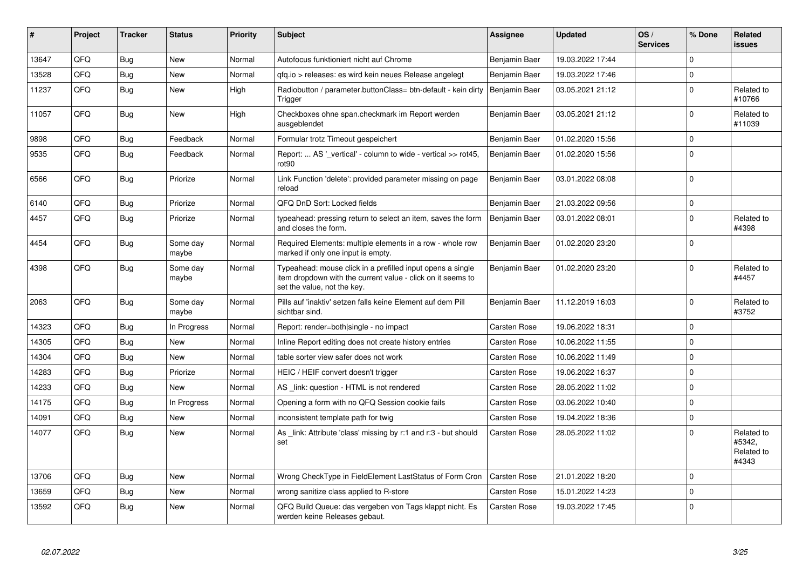| #     | <b>Project</b> | <b>Tracker</b> | <b>Status</b>     | <b>Priority</b> | <b>Subject</b>                                                                                                                                           | Assignee            | <b>Updated</b>   | OS/<br><b>Services</b> | % Done   | Related<br>issues                           |
|-------|----------------|----------------|-------------------|-----------------|----------------------------------------------------------------------------------------------------------------------------------------------------------|---------------------|------------------|------------------------|----------|---------------------------------------------|
| 13647 | QFQ            | Bug            | <b>New</b>        | Normal          | Autofocus funktioniert nicht auf Chrome                                                                                                                  | Benjamin Baer       | 19.03.2022 17:44 |                        | $\Omega$ |                                             |
| 13528 | QFQ            | <b>Bug</b>     | <b>New</b>        | Normal          | qfq.io > releases: es wird kein neues Release angelegt                                                                                                   | Benjamin Baer       | 19.03.2022 17:46 |                        | $\Omega$ |                                             |
| 11237 | QFQ            | <b>Bug</b>     | New               | High            | Radiobutton / parameter.buttonClass= btn-default - kein dirty<br>Trigger                                                                                 | Benjamin Baer       | 03.05.2021 21:12 |                        | $\Omega$ | Related to<br>#10766                        |
| 11057 | QFQ            | <b>Bug</b>     | <b>New</b>        | High            | Checkboxes ohne span.checkmark im Report werden<br>ausgeblendet                                                                                          | Benjamin Baer       | 03.05.2021 21:12 |                        | $\Omega$ | Related to<br>#11039                        |
| 9898  | QFQ            | <b>Bug</b>     | Feedback          | Normal          | Formular trotz Timeout gespeichert                                                                                                                       | Benjamin Baer       | 01.02.2020 15:56 |                        | $\Omega$ |                                             |
| 9535  | QFQ            | <b>Bug</b>     | Feedback          | Normal          | Report:  AS '_vertical' - column to wide - vertical >> rot45,<br>rot90                                                                                   | Benjamin Baer       | 01.02.2020 15:56 |                        | $\Omega$ |                                             |
| 6566  | QFQ            | <b>Bug</b>     | Priorize          | Normal          | Link Function 'delete': provided parameter missing on page<br>reload                                                                                     | Benjamin Baer       | 03.01.2022 08:08 |                        | $\Omega$ |                                             |
| 6140  | QFQ            | <b>Bug</b>     | Priorize          | Normal          | QFQ DnD Sort: Locked fields                                                                                                                              | Benjamin Baer       | 21.03.2022 09:56 |                        | 0        |                                             |
| 4457  | QFQ            | Bug            | Priorize          | Normal          | typeahead: pressing return to select an item, saves the form<br>and closes the form.                                                                     | Benjamin Baer       | 03.01.2022 08:01 |                        | $\Omega$ | Related to<br>#4398                         |
| 4454  | QFQ            | <b>Bug</b>     | Some day<br>maybe | Normal          | Required Elements: multiple elements in a row - whole row<br>marked if only one input is empty.                                                          | Benjamin Baer       | 01.02.2020 23:20 |                        | $\Omega$ |                                             |
| 4398  | QFQ            | Bug            | Some day<br>maybe | Normal          | Typeahead: mouse click in a prefilled input opens a single<br>item dropdown with the current value - click on it seems to<br>set the value, not the key. | Benjamin Baer       | 01.02.2020 23:20 |                        | $\Omega$ | Related to<br>#4457                         |
| 2063  | QFQ            | <b>Bug</b>     | Some day<br>maybe | Normal          | Pills auf 'inaktiv' setzen falls keine Element auf dem Pill<br>sichtbar sind.                                                                            | Benjamin Baer       | 11.12.2019 16:03 |                        | $\Omega$ | Related to<br>#3752                         |
| 14323 | QFQ            | <b>Bug</b>     | In Progress       | Normal          | Report: render=both single - no impact                                                                                                                   | Carsten Rose        | 19.06.2022 18:31 |                        | $\Omega$ |                                             |
| 14305 | QFQ            | Bug            | <b>New</b>        | Normal          | Inline Report editing does not create history entries                                                                                                    | Carsten Rose        | 10.06.2022 11:55 |                        | $\Omega$ |                                             |
| 14304 | QFQ            | Bug            | <b>New</b>        | Normal          | table sorter view safer does not work                                                                                                                    | <b>Carsten Rose</b> | 10.06.2022 11:49 |                        | $\Omega$ |                                             |
| 14283 | QFQ            | <b>Bug</b>     | Priorize          | Normal          | HEIC / HEIF convert doesn't trigger                                                                                                                      | <b>Carsten Rose</b> | 19.06.2022 16:37 |                        | $\Omega$ |                                             |
| 14233 | QFQ            | <b>Bug</b>     | New               | Normal          | AS link: question - HTML is not rendered                                                                                                                 | Carsten Rose        | 28.05.2022 11:02 |                        | $\Omega$ |                                             |
| 14175 | QFQ            | <b>Bug</b>     | In Progress       | Normal          | Opening a form with no QFQ Session cookie fails                                                                                                          | Carsten Rose        | 03.06.2022 10:40 |                        | $\Omega$ |                                             |
| 14091 | QFQ            | Bug            | <b>New</b>        | Normal          | inconsistent template path for twig                                                                                                                      | <b>Carsten Rose</b> | 19.04.2022 18:36 |                        | $\Omega$ |                                             |
| 14077 | QFQ            | Bug            | New               | Normal          | As _link: Attribute 'class' missing by r:1 and r:3 - but should<br>set                                                                                   | Carsten Rose        | 28.05.2022 11:02 |                        | $\Omega$ | Related to<br>#5342,<br>Related to<br>#4343 |
| 13706 | QFQ            | Bug            | <b>New</b>        | Normal          | Wrong CheckType in FieldElement LastStatus of Form Cron                                                                                                  | <b>Carsten Rose</b> | 21.01.2022 18:20 |                        | $\Omega$ |                                             |
| 13659 | QFQ            | Bug            | <b>New</b>        | Normal          | wrong sanitize class applied to R-store                                                                                                                  | Carsten Rose        | 15.01.2022 14:23 |                        | $\Omega$ |                                             |
| 13592 | QFQ            | Bug            | New               | Normal          | QFQ Build Queue: das vergeben von Tags klappt nicht. Es<br>werden keine Releases gebaut.                                                                 | Carsten Rose        | 19.03.2022 17:45 |                        | $\Omega$ |                                             |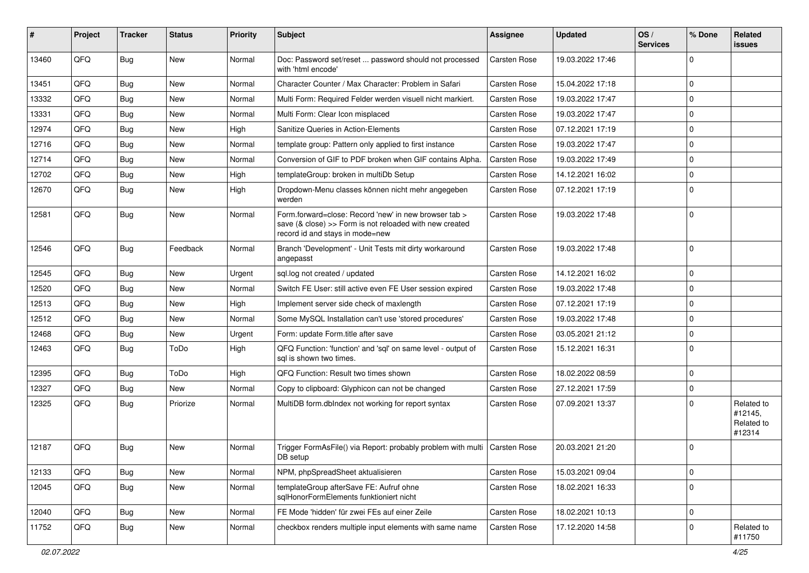| #     | Project | <b>Tracker</b> | <b>Status</b> | <b>Priority</b> | <b>Subject</b>                                                                                                                                      | Assignee            | <b>Updated</b>   | OS/<br><b>Services</b> | % Done      | Related<br><b>issues</b>                      |
|-------|---------|----------------|---------------|-----------------|-----------------------------------------------------------------------------------------------------------------------------------------------------|---------------------|------------------|------------------------|-------------|-----------------------------------------------|
| 13460 | QFQ     | Bug            | <b>New</b>    | Normal          | Doc: Password set/reset  password should not processed<br>with 'html encode'                                                                        | <b>Carsten Rose</b> | 19.03.2022 17:46 |                        | $\Omega$    |                                               |
| 13451 | QFQ     | <b>Bug</b>     | New           | Normal          | Character Counter / Max Character: Problem in Safari                                                                                                | Carsten Rose        | 15.04.2022 17:18 |                        | $\Omega$    |                                               |
| 13332 | QFQ     | Bug            | New           | Normal          | Multi Form: Required Felder werden visuell nicht markiert.                                                                                          | Carsten Rose        | 19.03.2022 17:47 |                        | $\Omega$    |                                               |
| 13331 | QFQ     | Bug            | New           | Normal          | Multi Form: Clear Icon misplaced                                                                                                                    | Carsten Rose        | 19.03.2022 17:47 |                        | $\Omega$    |                                               |
| 12974 | QFQ     | Bug            | New           | High            | Sanitize Queries in Action-Elements                                                                                                                 | Carsten Rose        | 07.12.2021 17:19 |                        | $\mathbf 0$ |                                               |
| 12716 | QFQ     | Bug            | New           | Normal          | template group: Pattern only applied to first instance                                                                                              | Carsten Rose        | 19.03.2022 17:47 |                        | 0           |                                               |
| 12714 | QFQ     | Bug            | New           | Normal          | Conversion of GIF to PDF broken when GIF contains Alpha.                                                                                            | Carsten Rose        | 19.03.2022 17:49 |                        | $\Omega$    |                                               |
| 12702 | QFQ     | Bug            | New           | High            | templateGroup: broken in multiDb Setup                                                                                                              | Carsten Rose        | 14.12.2021 16:02 |                        | $\Omega$    |                                               |
| 12670 | QFQ     | Bug            | New           | High            | Dropdown-Menu classes können nicht mehr angegeben<br>werden                                                                                         | Carsten Rose        | 07.12.2021 17:19 |                        | $\Omega$    |                                               |
| 12581 | QFQ     | Bug            | New           | Normal          | Form.forward=close: Record 'new' in new browser tab ><br>save (& close) >> Form is not reloaded with new created<br>record id and stays in mode=new | Carsten Rose        | 19.03.2022 17:48 |                        | l 0         |                                               |
| 12546 | QFQ     | Bug            | Feedback      | Normal          | Branch 'Development' - Unit Tests mit dirty workaround<br>angepasst                                                                                 | Carsten Rose        | 19.03.2022 17:48 |                        | $\Omega$    |                                               |
| 12545 | QFQ     | Bug            | New           | Urgent          | sql.log not created / updated                                                                                                                       | Carsten Rose        | 14.12.2021 16:02 |                        | l 0         |                                               |
| 12520 | QFQ     | Bug            | New           | Normal          | Switch FE User: still active even FE User session expired                                                                                           | Carsten Rose        | 19.03.2022 17:48 |                        | $\mathbf 0$ |                                               |
| 12513 | QFQ     | Bug            | New           | High            | Implement server side check of maxlength                                                                                                            | Carsten Rose        | 07.12.2021 17:19 |                        | $\Omega$    |                                               |
| 12512 | QFQ     | Bug            | New           | Normal          | Some MySQL Installation can't use 'stored procedures'                                                                                               | Carsten Rose        | 19.03.2022 17:48 |                        | $\Omega$    |                                               |
| 12468 | QFQ     | Bug            | New           | Urgent          | Form: update Form.title after save                                                                                                                  | Carsten Rose        | 03.05.2021 21:12 |                        | $\Omega$    |                                               |
| 12463 | QFQ     | <b>Bug</b>     | ToDo          | High            | QFQ Function: 'function' and 'sql' on same level - output of<br>sal is shown two times.                                                             | Carsten Rose        | 15.12.2021 16:31 |                        | $\Omega$    |                                               |
| 12395 | QFQ     | Bug            | ToDo          | High            | QFQ Function: Result two times shown                                                                                                                | Carsten Rose        | 18.02.2022 08:59 |                        | $\Omega$    |                                               |
| 12327 | QFQ     | Bug            | New           | Normal          | Copy to clipboard: Glyphicon can not be changed                                                                                                     | Carsten Rose        | 27.12.2021 17:59 |                        | $\Omega$    |                                               |
| 12325 | QFQ     | Bug            | Priorize      | Normal          | MultiDB form.dblndex not working for report syntax                                                                                                  | Carsten Rose        | 07.09.2021 13:37 |                        | $\Omega$    | Related to<br>#12145,<br>Related to<br>#12314 |
| 12187 | QFQ     | Bug            | <b>New</b>    | Normal          | Trigger FormAsFile() via Report: probably problem with multi   Carsten Rose<br>DB setup                                                             |                     | 20.03.2021 21:20 |                        | $\Omega$    |                                               |
| 12133 | QFQ     | Bug            | New           | Normal          | NPM, phpSpreadSheet aktualisieren                                                                                                                   | Carsten Rose        | 15.03.2021 09:04 |                        | 0           |                                               |
| 12045 | QFQ     | <b>Bug</b>     | New           | Normal          | templateGroup afterSave FE: Aufruf ohne<br>sqlHonorFormElements funktioniert nicht                                                                  | Carsten Rose        | 18.02.2021 16:33 |                        | $\mathbf 0$ |                                               |
| 12040 | QFQ     | <b>Bug</b>     | New           | Normal          | FE Mode 'hidden' für zwei FEs auf einer Zeile                                                                                                       | Carsten Rose        | 18.02.2021 10:13 |                        | $\mathbf 0$ |                                               |
| 11752 | QFQ     | Bug            | New           | Normal          | checkbox renders multiple input elements with same name                                                                                             | <b>Carsten Rose</b> | 17.12.2020 14:58 |                        | $\mathbf 0$ | Related to<br>#11750                          |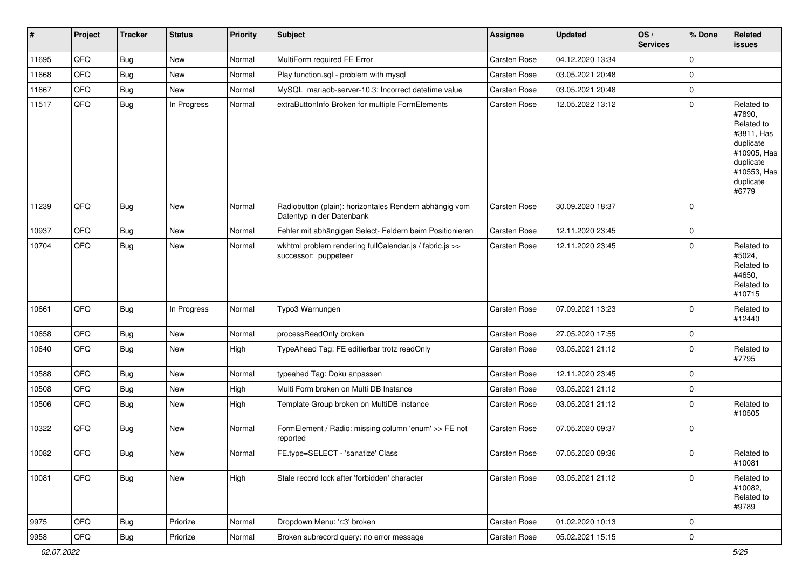| $\vert$ # | Project | <b>Tracker</b> | <b>Status</b> | <b>Priority</b> | <b>Subject</b>                                                                      | <b>Assignee</b> | <b>Updated</b>   | OS/<br><b>Services</b> | % Done      | Related<br><b>issues</b>                                                                                                       |
|-----------|---------|----------------|---------------|-----------------|-------------------------------------------------------------------------------------|-----------------|------------------|------------------------|-------------|--------------------------------------------------------------------------------------------------------------------------------|
| 11695     | QFQ     | <b>Bug</b>     | New           | Normal          | MultiForm required FE Error                                                         | Carsten Rose    | 04.12.2020 13:34 |                        | $\Omega$    |                                                                                                                                |
| 11668     | QFQ     | <b>Bug</b>     | New           | Normal          | Play function.sql - problem with mysql                                              | Carsten Rose    | 03.05.2021 20:48 |                        | $\mathbf 0$ |                                                                                                                                |
| 11667     | QFQ     | <b>Bug</b>     | New           | Normal          | MySQL mariadb-server-10.3: Incorrect datetime value                                 | Carsten Rose    | 03.05.2021 20:48 |                        | $\mathbf 0$ |                                                                                                                                |
| 11517     | QFQ     | <b>Bug</b>     | In Progress   | Normal          | extraButtonInfo Broken for multiple FormElements                                    | Carsten Rose    | 12.05.2022 13:12 |                        | $\mathbf 0$ | Related to<br>#7890,<br>Related to<br>#3811, Has<br>duplicate<br>#10905, Has<br>duplicate<br>#10553, Has<br>duplicate<br>#6779 |
| 11239     | QFQ     | <b>Bug</b>     | New           | Normal          | Radiobutton (plain): horizontales Rendern abhängig vom<br>Datentyp in der Datenbank | Carsten Rose    | 30.09.2020 18:37 |                        | $\Omega$    |                                                                                                                                |
| 10937     | QFQ     | Bug            | New           | Normal          | Fehler mit abhängigen Select- Feldern beim Positionieren                            | Carsten Rose    | 12.11.2020 23:45 |                        | $\mathbf 0$ |                                                                                                                                |
| 10704     | QFQ     | Bug            | New           | Normal          | wkhtml problem rendering fullCalendar.js / fabric.js >><br>successor: puppeteer     | Carsten Rose    | 12.11.2020 23:45 |                        | $\mathbf 0$ | Related to<br>#5024,<br>Related to<br>#4650,<br>Related to<br>#10715                                                           |
| 10661     | QFQ     | <b>Bug</b>     | In Progress   | Normal          | Typo3 Warnungen                                                                     | Carsten Rose    | 07.09.2021 13:23 |                        | $\mathbf 0$ | Related to<br>#12440                                                                                                           |
| 10658     | QFQ     | <b>Bug</b>     | New           | Normal          | processReadOnly broken                                                              | Carsten Rose    | 27.05.2020 17:55 |                        | $\mathbf 0$ |                                                                                                                                |
| 10640     | QFQ     | <b>Bug</b>     | New           | High            | TypeAhead Tag: FE editierbar trotz readOnly                                         | Carsten Rose    | 03.05.2021 21:12 |                        | $\mathbf 0$ | Related to<br>#7795                                                                                                            |
| 10588     | QFQ     | <b>Bug</b>     | New           | Normal          | typeahed Tag: Doku anpassen                                                         | Carsten Rose    | 12.11.2020 23:45 |                        | $\mathbf 0$ |                                                                                                                                |
| 10508     | QFQ     | <b>Bug</b>     | New           | High            | Multi Form broken on Multi DB Instance                                              | Carsten Rose    | 03.05.2021 21:12 |                        | $\mathbf 0$ |                                                                                                                                |
| 10506     | QFQ     | Bug            | New           | High            | Template Group broken on MultiDB instance                                           | Carsten Rose    | 03.05.2021 21:12 |                        | $\mathbf 0$ | Related to<br>#10505                                                                                                           |
| 10322     | QFQ     | <b>Bug</b>     | New           | Normal          | FormElement / Radio: missing column 'enum' >> FE not<br>reported                    | Carsten Rose    | 07.05.2020 09:37 |                        | $\mathbf 0$ |                                                                                                                                |
| 10082     | QFQ     | <b>Bug</b>     | New           | Normal          | FE.type=SELECT - 'sanatize' Class                                                   | Carsten Rose    | 07.05.2020 09:36 |                        | $\mathbf 0$ | Related to<br>#10081                                                                                                           |
| 10081     | QFQ     | <b>Bug</b>     | New           | High            | Stale record lock after 'forbidden' character                                       | Carsten Rose    | 03.05.2021 21:12 |                        | $\Omega$    | Related to<br>#10082,<br>Related to<br>#9789                                                                                   |
| 9975      | QFQ     | <b>Bug</b>     | Priorize      | Normal          | Dropdown Menu: 'r:3' broken                                                         | Carsten Rose    | 01.02.2020 10:13 |                        | $\mathbf 0$ |                                                                                                                                |
| 9958      | QFQ     | Bug            | Priorize      | Normal          | Broken subrecord query: no error message                                            | Carsten Rose    | 05.02.2021 15:15 |                        | $\mathbf 0$ |                                                                                                                                |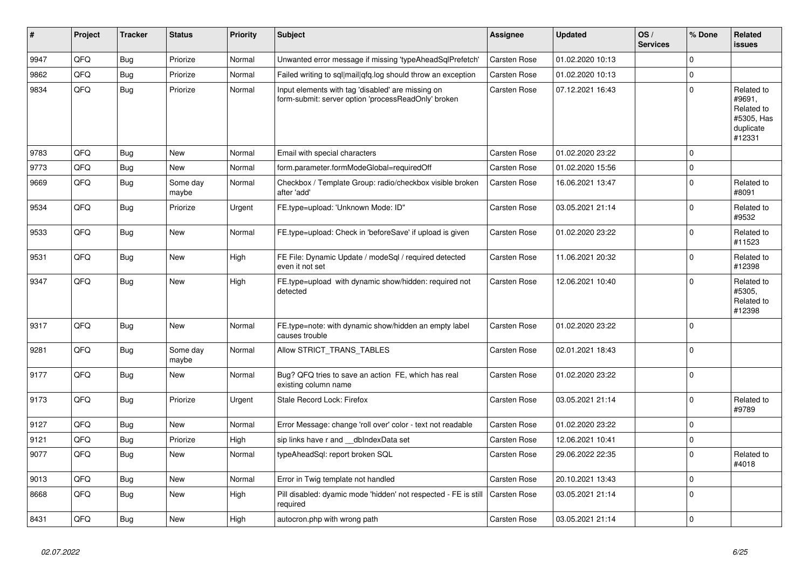| #    | Project | <b>Tracker</b> | <b>Status</b>     | <b>Priority</b> | <b>Subject</b>                                                                                           | Assignee            | <b>Updated</b>   | OS/<br><b>Services</b> | % Done      | Related<br>issues                                                       |
|------|---------|----------------|-------------------|-----------------|----------------------------------------------------------------------------------------------------------|---------------------|------------------|------------------------|-------------|-------------------------------------------------------------------------|
| 9947 | QFQ     | <b>Bug</b>     | Priorize          | Normal          | Unwanted error message if missing 'typeAheadSqlPrefetch'                                                 | Carsten Rose        | 01.02.2020 10:13 |                        | $\Omega$    |                                                                         |
| 9862 | QFQ     | <b>Bug</b>     | Priorize          | Normal          | Failed writing to sql mail qfq.log should throw an exception                                             | Carsten Rose        | 01.02.2020 10:13 |                        | $\Omega$    |                                                                         |
| 9834 | QFQ     | Bug            | Priorize          | Normal          | Input elements with tag 'disabled' are missing on<br>form-submit: server option 'processReadOnly' broken | Carsten Rose        | 07.12.2021 16:43 |                        | $\Omega$    | Related to<br>#9691,<br>Related to<br>#5305, Has<br>duplicate<br>#12331 |
| 9783 | QFQ     | Bug            | <b>New</b>        | Normal          | Email with special characters                                                                            | <b>Carsten Rose</b> | 01.02.2020 23:22 |                        | $\Omega$    |                                                                         |
| 9773 | QFQ     | <b>Bug</b>     | <b>New</b>        | Normal          | form.parameter.formModeGlobal=requiredOff                                                                | Carsten Rose        | 01.02.2020 15:56 |                        | $\Omega$    |                                                                         |
| 9669 | QFQ     | <b>Bug</b>     | Some day<br>maybe | Normal          | Checkbox / Template Group: radio/checkbox visible broken<br>after 'add'                                  | Carsten Rose        | 16.06.2021 13:47 |                        | $\Omega$    | Related to<br>#8091                                                     |
| 9534 | QFQ     | <b>Bug</b>     | Priorize          | Urgent          | FE.type=upload: 'Unknown Mode: ID"                                                                       | Carsten Rose        | 03.05.2021 21:14 |                        | $\Omega$    | Related to<br>#9532                                                     |
| 9533 | QFQ     | <b>Bug</b>     | <b>New</b>        | Normal          | FE.type=upload: Check in 'beforeSave' if upload is given                                                 | Carsten Rose        | 01.02.2020 23:22 |                        | $\Omega$    | Related to<br>#11523                                                    |
| 9531 | QFQ     | <b>Bug</b>     | <b>New</b>        | High            | FE File: Dynamic Update / modeSql / required detected<br>even it not set                                 | Carsten Rose        | 11.06.2021 20:32 |                        | $\Omega$    | Related to<br>#12398                                                    |
| 9347 | QFQ     | <b>Bug</b>     | <b>New</b>        | High            | FE.type=upload with dynamic show/hidden: required not<br>detected                                        | Carsten Rose        | 12.06.2021 10:40 |                        | $\Omega$    | Related to<br>#5305,<br>Related to<br>#12398                            |
| 9317 | QFQ     | <b>Bug</b>     | <b>New</b>        | Normal          | FE.type=note: with dynamic show/hidden an empty label<br>causes trouble                                  | Carsten Rose        | 01.02.2020 23:22 |                        | $\Omega$    |                                                                         |
| 9281 | QFQ     | <b>Bug</b>     | Some day<br>maybe | Normal          | Allow STRICT TRANS TABLES                                                                                | Carsten Rose        | 02.01.2021 18:43 |                        | $\Omega$    |                                                                         |
| 9177 | QFQ     | <b>Bug</b>     | <b>New</b>        | Normal          | Bug? QFQ tries to save an action FE, which has real<br>existing column name                              | Carsten Rose        | 01.02.2020 23:22 |                        | $\Omega$    |                                                                         |
| 9173 | QFQ     | Bug            | Priorize          | Urgent          | Stale Record Lock: Firefox                                                                               | Carsten Rose        | 03.05.2021 21:14 |                        | $\Omega$    | Related to<br>#9789                                                     |
| 9127 | QFQ     | <b>Bug</b>     | New               | Normal          | Error Message: change 'roll over' color - text not readable                                              | Carsten Rose        | 01.02.2020 23:22 |                        | $\mathbf 0$ |                                                                         |
| 9121 | QFQ     | <b>Bug</b>     | Priorize          | High            | sip links have r and __dbIndexData set                                                                   | Carsten Rose        | 12.06.2021 10:41 |                        | $\Omega$    |                                                                         |
| 9077 | QFQ     | Bug            | <b>New</b>        | Normal          | typeAheadSql: report broken SQL                                                                          | Carsten Rose        | 29.06.2022 22:35 |                        | $\Omega$    | Related to<br>#4018                                                     |
| 9013 | QFQ     | <b>Bug</b>     | <b>New</b>        | Normal          | Error in Twig template not handled                                                                       | Carsten Rose        | 20.10.2021 13:43 |                        | $\Omega$    |                                                                         |
| 8668 | QFQ     | <b>Bug</b>     | New               | High            | Pill disabled: dyamic mode 'hidden' not respected - FE is still<br>required                              | <b>Carsten Rose</b> | 03.05.2021 21:14 |                        | $\Omega$    |                                                                         |
| 8431 | QFQ     | <b>Bug</b>     | <b>New</b>        | High            | autocron.php with wrong path                                                                             | <b>Carsten Rose</b> | 03.05.2021 21:14 |                        | $\Omega$    |                                                                         |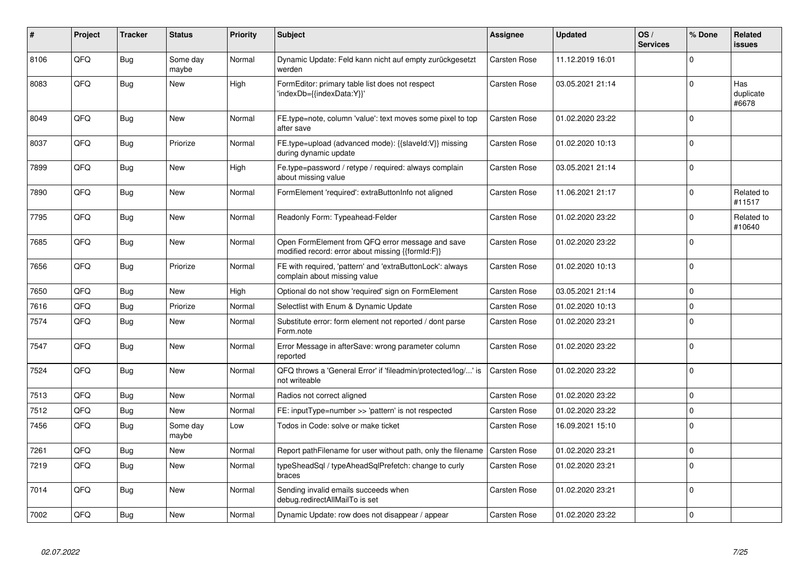| #    | Project | <b>Tracker</b> | <b>Status</b>     | <b>Priority</b> | <b>Subject</b>                                                                                        | Assignee            | <b>Updated</b>   | OS/<br><b>Services</b> | % Done      | <b>Related</b><br>issues  |
|------|---------|----------------|-------------------|-----------------|-------------------------------------------------------------------------------------------------------|---------------------|------------------|------------------------|-------------|---------------------------|
| 8106 | QFQ     | <b>Bug</b>     | Some day<br>maybe | Normal          | Dynamic Update: Feld kann nicht auf empty zurückgesetzt<br>werden                                     | Carsten Rose        | 11.12.2019 16:01 |                        | $\Omega$    |                           |
| 8083 | QFQ     | <b>Bug</b>     | <b>New</b>        | High            | FormEditor: primary table list does not respect<br>'indexDb={{indexData:Y}}'                          | <b>Carsten Rose</b> | 03.05.2021 21:14 |                        | $\Omega$    | Has<br>duplicate<br>#6678 |
| 8049 | QFQ     | <b>Bug</b>     | <b>New</b>        | Normal          | FE.type=note, column 'value': text moves some pixel to top<br>after save                              | Carsten Rose        | 01.02.2020 23:22 |                        | $\Omega$    |                           |
| 8037 | QFQ     | Bug            | Priorize          | Normal          | FE.type=upload (advanced mode): {{slaveld:V}} missing<br>during dynamic update                        | Carsten Rose        | 01.02.2020 10:13 |                        | $\Omega$    |                           |
| 7899 | QFQ     | <b>Bug</b>     | <b>New</b>        | High            | Fe.type=password / retype / required: always complain<br>about missing value                          | Carsten Rose        | 03.05.2021 21:14 |                        | $\Omega$    |                           |
| 7890 | QFQ     | <b>Bug</b>     | <b>New</b>        | Normal          | FormElement 'required': extraButtonInfo not aligned                                                   | Carsten Rose        | 11.06.2021 21:17 |                        | $\Omega$    | Related to<br>#11517      |
| 7795 | QFQ     | <b>Bug</b>     | New               | Normal          | Readonly Form: Typeahead-Felder                                                                       | Carsten Rose        | 01.02.2020 23:22 |                        | $\Omega$    | Related to<br>#10640      |
| 7685 | QFQ     | Bug            | <b>New</b>        | Normal          | Open FormElement from QFQ error message and save<br>modified record: error about missing {{formId:F}} | Carsten Rose        | 01.02.2020 23:22 |                        | $\Omega$    |                           |
| 7656 | QFQ     | Bug            | Priorize          | Normal          | FE with required, 'pattern' and 'extraButtonLock': always<br>complain about missing value             | Carsten Rose        | 01.02.2020 10:13 |                        | $\Omega$    |                           |
| 7650 | QFQ     | <b>Bug</b>     | <b>New</b>        | High            | Optional do not show 'required' sign on FormElement                                                   | <b>Carsten Rose</b> | 03.05.2021 21:14 |                        | $\Omega$    |                           |
| 7616 | QFQ     | Bug            | Priorize          | Normal          | Selectlist with Enum & Dynamic Update                                                                 | Carsten Rose        | 01.02.2020 10:13 |                        | $\Omega$    |                           |
| 7574 | QFQ     | <b>Bug</b>     | <b>New</b>        | Normal          | Substitute error: form element not reported / dont parse<br>Form.note                                 | Carsten Rose        | 01.02.2020 23:21 |                        | $\Omega$    |                           |
| 7547 | QFQ     | Bug            | New               | Normal          | Error Message in afterSave: wrong parameter column<br>reported                                        | Carsten Rose        | 01.02.2020 23:22 |                        | $\Omega$    |                           |
| 7524 | QFQ     | Bug            | <b>New</b>        | Normal          | QFQ throws a 'General Error' if 'fileadmin/protected/log/' is<br>not writeable                        | Carsten Rose        | 01.02.2020 23:22 |                        | $\Omega$    |                           |
| 7513 | QFQ     | Bug            | <b>New</b>        | Normal          | Radios not correct aligned                                                                            | Carsten Rose        | 01.02.2020 23:22 |                        | 0           |                           |
| 7512 | QFQ     | <b>Bug</b>     | New               | Normal          | FE: inputType=number >> 'pattern' is not respected                                                    | Carsten Rose        | 01.02.2020 23:22 |                        | $\mathbf 0$ |                           |
| 7456 | QFQ     | <b>Bug</b>     | Some day<br>maybe | Low             | Todos in Code: solve or make ticket                                                                   | Carsten Rose        | 16.09.2021 15:10 |                        | $\Omega$    |                           |
| 7261 | QFQ     | Bug            | New               | Normal          | Report pathFilename for user without path, only the filename                                          | Carsten Rose        | 01.02.2020 23:21 |                        | $\Omega$    |                           |
| 7219 | QFQ     | <b>Bug</b>     | New               | Normal          | typeSheadSql / typeAheadSqlPrefetch: change to curly<br>braces                                        | Carsten Rose        | 01.02.2020 23:21 |                        | $\Omega$    |                           |
| 7014 | QFQ     | <b>Bug</b>     | New               | Normal          | Sending invalid emails succeeds when<br>debug.redirectAllMailTo is set                                | Carsten Rose        | 01.02.2020 23:21 |                        | $\Omega$    |                           |
| 7002 | QFQ     | Bug            | New               | Normal          | Dynamic Update: row does not disappear / appear                                                       | Carsten Rose        | 01.02.2020 23:22 |                        | $\Omega$    |                           |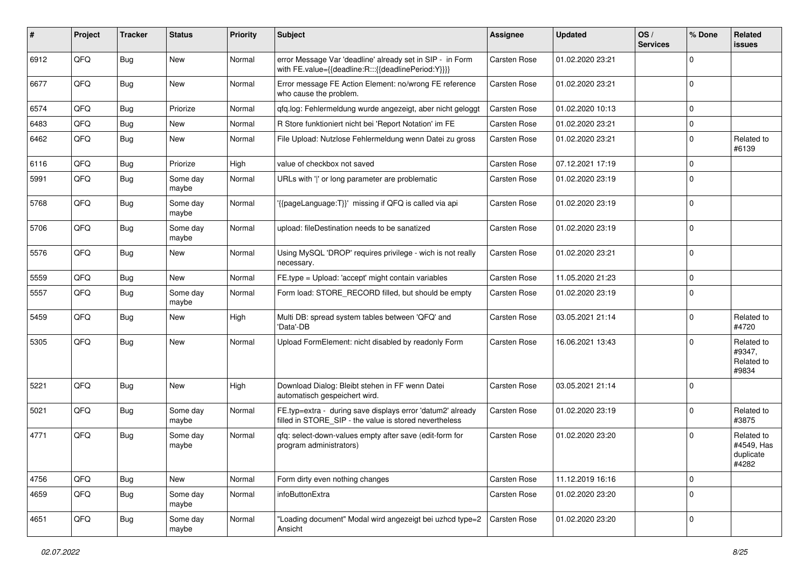| #    | Project | <b>Tracker</b> | <b>Status</b>     | <b>Priority</b> | Subject                                                                                                              | Assignee     | <b>Updated</b>   | OS/<br><b>Services</b> | % Done      | Related<br>issues                              |
|------|---------|----------------|-------------------|-----------------|----------------------------------------------------------------------------------------------------------------------|--------------|------------------|------------------------|-------------|------------------------------------------------|
| 6912 | QFQ     | Bug            | New               | Normal          | error Message Var 'deadline' already set in SIP - in Form<br>with FE.value={{deadline:R:::{{deadlinePeriod:Y}}}}     | Carsten Rose | 01.02.2020 23:21 |                        | $\Omega$    |                                                |
| 6677 | QFQ     | Bug            | <b>New</b>        | Normal          | Error message FE Action Element: no/wrong FE reference<br>who cause the problem.                                     | Carsten Rose | 01.02.2020 23:21 |                        | $\Omega$    |                                                |
| 6574 | QFQ     | Bug            | Priorize          | Normal          | qfq.log: Fehlermeldung wurde angezeigt, aber nicht geloggt                                                           | Carsten Rose | 01.02.2020 10:13 |                        | $\Omega$    |                                                |
| 6483 | QFQ     | Bug            | New               | Normal          | R Store funktioniert nicht bei 'Report Notation' im FE                                                               | Carsten Rose | 01.02.2020 23:21 |                        | $\Omega$    |                                                |
| 6462 | QFQ     | <b>Bug</b>     | New               | Normal          | File Upload: Nutzlose Fehlermeldung wenn Datei zu gross                                                              | Carsten Rose | 01.02.2020 23:21 |                        | $\Omega$    | Related to<br>#6139                            |
| 6116 | QFQ     | <b>Bug</b>     | Priorize          | High            | value of checkbox not saved                                                                                          | Carsten Rose | 07.12.2021 17:19 |                        | $\Omega$    |                                                |
| 5991 | QFQ     | <b>Bug</b>     | Some day<br>maybe | Normal          | URLs with ' ' or long parameter are problematic                                                                      | Carsten Rose | 01.02.2020 23:19 |                        | $\Omega$    |                                                |
| 5768 | QFQ     | Bug            | Some day<br>maybe | Normal          | '{{pageLanguage:T}}' missing if QFQ is called via api                                                                | Carsten Rose | 01.02.2020 23:19 |                        | $\Omega$    |                                                |
| 5706 | QFQ     | Bug            | Some day<br>maybe | Normal          | upload: fileDestination needs to be sanatized                                                                        | Carsten Rose | 01.02.2020 23:19 |                        | $\Omega$    |                                                |
| 5576 | QFQ     | Bug            | New               | Normal          | Using MySQL 'DROP' requires privilege - wich is not really<br>necessary.                                             | Carsten Rose | 01.02.2020 23:21 |                        | $\Omega$    |                                                |
| 5559 | QFQ     | Bug            | <b>New</b>        | Normal          | FE.type = Upload: 'accept' might contain variables                                                                   | Carsten Rose | 11.05.2020 21:23 |                        | 0           |                                                |
| 5557 | QFQ     | <b>Bug</b>     | Some day<br>maybe | Normal          | Form load: STORE RECORD filled, but should be empty                                                                  | Carsten Rose | 01.02.2020 23:19 |                        | $\Omega$    |                                                |
| 5459 | QFQ     | Bug            | New               | High            | Multi DB: spread system tables between 'QFQ' and<br>'Data'-DB                                                        | Carsten Rose | 03.05.2021 21:14 |                        | $\Omega$    | Related to<br>#4720                            |
| 5305 | QFQ     | Bug            | New               | Normal          | Upload FormElement: nicht disabled by readonly Form                                                                  | Carsten Rose | 16.06.2021 13:43 |                        | $\Omega$    | Related to<br>#9347,<br>Related to<br>#9834    |
| 5221 | QFQ     | Bug            | New               | High            | Download Dialog: Bleibt stehen in FF wenn Datei<br>automatisch gespeichert wird.                                     | Carsten Rose | 03.05.2021 21:14 |                        | $\Omega$    |                                                |
| 5021 | QFQ     | Bug            | Some day<br>maybe | Normal          | FE.typ=extra - during save displays error 'datum2' already<br>filled in STORE_SIP - the value is stored nevertheless | Carsten Rose | 01.02.2020 23:19 |                        | $\Omega$    | Related to<br>#3875                            |
| 4771 | QFQ     | Bug            | Some day<br>maybe | Normal          | gfg: select-down-values empty after save (edit-form for<br>program administrators)                                   | Carsten Rose | 01.02.2020 23:20 |                        | $\Omega$    | Related to<br>#4549, Has<br>duplicate<br>#4282 |
| 4756 | QFQ     | <b>Bug</b>     | New               | Normal          | Form dirty even nothing changes                                                                                      | Carsten Rose | 11.12.2019 16:16 |                        | $\mathbf 0$ |                                                |
| 4659 | QFQ     | <b>Bug</b>     | Some day<br>maybe | Normal          | infoButtonExtra                                                                                                      | Carsten Rose | 01.02.2020 23:20 |                        | $\Omega$    |                                                |
| 4651 | QFQ     | Bug            | Some day<br>maybe | Normal          | "Loading document" Modal wird angezeigt bei uzhcd type=2<br>Ansicht                                                  | Carsten Rose | 01.02.2020 23:20 |                        | 0           |                                                |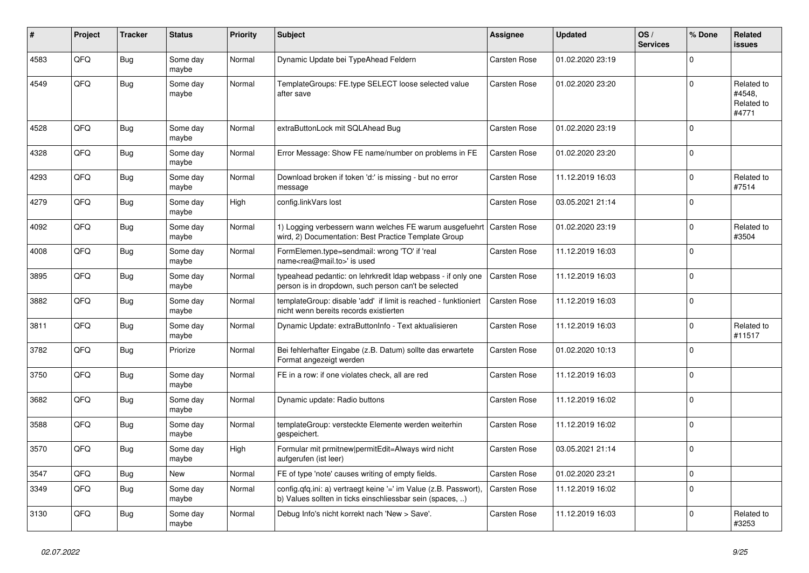| #    | Project | <b>Tracker</b> | <b>Status</b>     | <b>Priority</b> | <b>Subject</b>                                                                                                                | Assignee            | <b>Updated</b>   | OS/<br><b>Services</b> | % Done      | Related<br><b>issues</b>                    |
|------|---------|----------------|-------------------|-----------------|-------------------------------------------------------------------------------------------------------------------------------|---------------------|------------------|------------------------|-------------|---------------------------------------------|
| 4583 | QFQ     | <b>Bug</b>     | Some day<br>maybe | Normal          | Dynamic Update bei TypeAhead Feldern                                                                                          | Carsten Rose        | 01.02.2020 23:19 |                        | $\Omega$    |                                             |
| 4549 | QFQ     | Bug            | Some day<br>maybe | Normal          | TemplateGroups: FE.type SELECT loose selected value<br>after save                                                             | <b>Carsten Rose</b> | 01.02.2020 23:20 |                        | $\Omega$    | Related to<br>#4548,<br>Related to<br>#4771 |
| 4528 | QFQ     | Bug            | Some day<br>maybe | Normal          | extraButtonLock mit SQLAhead Bug                                                                                              | Carsten Rose        | 01.02.2020 23:19 |                        | $\Omega$    |                                             |
| 4328 | QFQ     | Bug            | Some day<br>maybe | Normal          | Error Message: Show FE name/number on problems in FE                                                                          | Carsten Rose        | 01.02.2020 23:20 |                        | $\Omega$    |                                             |
| 4293 | QFQ     | <b>Bug</b>     | Some day<br>maybe | Normal          | Download broken if token 'd:' is missing - but no error<br>message                                                            | <b>Carsten Rose</b> | 11.12.2019 16:03 |                        | $\Omega$    | Related to<br>#7514                         |
| 4279 | QFQ     | Bug            | Some day<br>maybe | High            | config.linkVars lost                                                                                                          | Carsten Rose        | 03.05.2021 21:14 |                        | $\Omega$    |                                             |
| 4092 | QFQ     | Bug            | Some day<br>maybe | Normal          | 1) Logging verbessern wann welches FE warum ausgefuehrt<br>wird, 2) Documentation: Best Practice Template Group               | <b>Carsten Rose</b> | 01.02.2020 23:19 |                        | $\Omega$    | Related to<br>#3504                         |
| 4008 | QFQ     | Bug            | Some day<br>maybe | Normal          | FormElemen.type=sendmail: wrong 'TO' if 'real<br>name <rea@mail.to>' is used</rea@mail.to>                                    | <b>Carsten Rose</b> | 11.12.2019 16:03 |                        | $\Omega$    |                                             |
| 3895 | OFO     | Bug            | Some day<br>maybe | Normal          | typeahead pedantic: on lehrkredit Idap webpass - if only one<br>person is in dropdown, such person can't be selected          | <b>Carsten Rose</b> | 11.12.2019 16:03 |                        | $\Omega$    |                                             |
| 3882 | QFQ     | Bug            | Some day<br>maybe | Normal          | templateGroup: disable 'add' if limit is reached - funktioniert<br>nicht wenn bereits records existierten                     | <b>Carsten Rose</b> | 11.12.2019 16:03 |                        | $\Omega$    |                                             |
| 3811 | QFQ     | <b>Bug</b>     | Some day<br>maybe | Normal          | Dynamic Update: extraButtonInfo - Text aktualisieren                                                                          | <b>Carsten Rose</b> | 11.12.2019 16:03 |                        | $\Omega$    | Related to<br>#11517                        |
| 3782 | OFO     | <b>Bug</b>     | Priorize          | Normal          | Bei fehlerhafter Eingabe (z.B. Datum) sollte das erwartete<br>Format angezeigt werden                                         | Carsten Rose        | 01.02.2020 10:13 |                        | $\Omega$    |                                             |
| 3750 | QFQ     | Bug            | Some day<br>maybe | Normal          | FE in a row: if one violates check, all are red                                                                               | Carsten Rose        | 11.12.2019 16:03 |                        | $\Omega$    |                                             |
| 3682 | QFQ     | Bug            | Some day<br>maybe | Normal          | Dynamic update: Radio buttons                                                                                                 | <b>Carsten Rose</b> | 11.12.2019 16:02 |                        | $\mathbf 0$ |                                             |
| 3588 | QFQ     | <b>Bug</b>     | Some day<br>maybe | Normal          | templateGroup: versteckte Elemente werden weiterhin<br>gespeichert.                                                           | Carsten Rose        | 11.12.2019 16:02 |                        | $\Omega$    |                                             |
| 3570 | QFQ     | Bug            | Some day<br>maybe | High            | Formular mit prmitnew permitEdit=Always wird nicht<br>aufgerufen (ist leer)                                                   | Carsten Rose        | 03.05.2021 21:14 |                        | $\Omega$    |                                             |
| 3547 | QFQ     | <b>Bug</b>     | New               | Normal          | FE of type 'note' causes writing of empty fields.                                                                             | Carsten Rose        | 01.02.2020 23:21 |                        | $\mathbf 0$ |                                             |
| 3349 | QFQ     | <b>Bug</b>     | Some day<br>maybe | Normal          | config.qfq.ini: a) vertraegt keine '=' im Value (z.B. Passwort),<br>b) Values sollten in ticks einschliessbar sein (spaces, ) | Carsten Rose        | 11.12.2019 16:02 |                        | $\Omega$    |                                             |
| 3130 | QFQ     | <b>Bug</b>     | Some day<br>maybe | Normal          | Debug Info's nicht korrekt nach 'New > Save'.                                                                                 | <b>Carsten Rose</b> | 11.12.2019 16:03 |                        | $\Omega$    | Related to<br>#3253                         |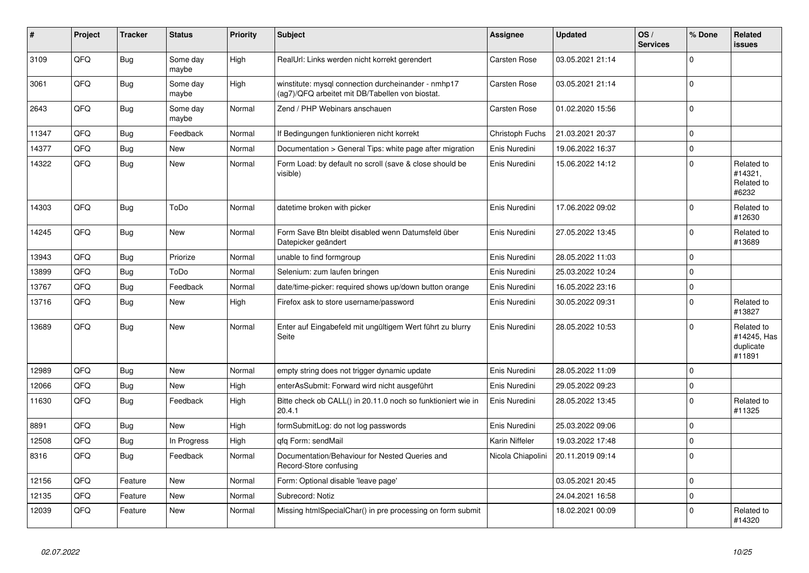| #     | Project | <b>Tracker</b> | <b>Status</b>     | <b>Priority</b> | <b>Subject</b>                                                                                         | Assignee          | <b>Updated</b>   | OS/<br><b>Services</b> | % Done      | Related<br><b>issues</b>                         |
|-------|---------|----------------|-------------------|-----------------|--------------------------------------------------------------------------------------------------------|-------------------|------------------|------------------------|-------------|--------------------------------------------------|
| 3109  | QFQ     | <b>Bug</b>     | Some day<br>maybe | High            | RealUrl: Links werden nicht korrekt gerendert                                                          | Carsten Rose      | 03.05.2021 21:14 |                        | $\Omega$    |                                                  |
| 3061  | QFQ     | Bug            | Some day<br>maybe | High            | winstitute: mysql connection durcheinander - nmhp17<br>(ag7)/QFQ arbeitet mit DB/Tabellen von biostat. | Carsten Rose      | 03.05.2021 21:14 |                        | $\Omega$    |                                                  |
| 2643  | QFQ     | <b>Bug</b>     | Some day<br>maybe | Normal          | Zend / PHP Webinars anschauen                                                                          | Carsten Rose      | 01.02.2020 15:56 |                        | $\Omega$    |                                                  |
| 11347 | QFQ     | Bug            | Feedback          | Normal          | If Bedingungen funktionieren nicht korrekt                                                             | Christoph Fuchs   | 21.03.2021 20:37 |                        | $\Omega$    |                                                  |
| 14377 | QFQ     | Bug            | <b>New</b>        | Normal          | Documentation > General Tips: white page after migration                                               | Enis Nuredini     | 19.06.2022 16:37 |                        | $\mathbf 0$ |                                                  |
| 14322 | QFQ     | <b>Bug</b>     | <b>New</b>        | Normal          | Form Load: by default no scroll (save & close should be<br>visible)                                    | Enis Nuredini     | 15.06.2022 14:12 |                        | $\Omega$    | Related to<br>#14321,<br>Related to<br>#6232     |
| 14303 | QFQ     | Bug            | ToDo              | Normal          | datetime broken with picker                                                                            | Enis Nuredini     | 17.06.2022 09:02 |                        | $\Omega$    | Related to<br>#12630                             |
| 14245 | QFQ     | Bug            | <b>New</b>        | Normal          | Form Save Btn bleibt disabled wenn Datumsfeld über<br>Datepicker geändert                              | Enis Nuredini     | 27.05.2022 13:45 |                        | $\Omega$    | Related to<br>#13689                             |
| 13943 | QFQ     | <b>Bug</b>     | Priorize          | Normal          | unable to find formgroup                                                                               | Enis Nuredini     | 28.05.2022 11:03 |                        | $\Omega$    |                                                  |
| 13899 | QFQ     | <b>Bug</b>     | ToDo              | Normal          | Selenium: zum laufen bringen                                                                           | Enis Nuredini     | 25.03.2022 10:24 |                        | $\Omega$    |                                                  |
| 13767 | QFQ     | <b>Bug</b>     | Feedback          | Normal          | date/time-picker: required shows up/down button orange                                                 | Enis Nuredini     | 16.05.2022 23:16 |                        | $\mathbf 0$ |                                                  |
| 13716 | QFQ     | <b>Bug</b>     | New               | High            | Firefox ask to store username/password                                                                 | Enis Nuredini     | 30.05.2022 09:31 |                        | $\Omega$    | Related to<br>#13827                             |
| 13689 | QFQ     | Bug            | <b>New</b>        | Normal          | Enter auf Eingabefeld mit ungültigem Wert führt zu blurry<br>Seite                                     | Enis Nuredini     | 28.05.2022 10:53 |                        | $\Omega$    | Related to<br>#14245, Has<br>duplicate<br>#11891 |
| 12989 | QFQ     | Bug            | <b>New</b>        | Normal          | empty string does not trigger dynamic update                                                           | Enis Nuredini     | 28.05.2022 11:09 |                        | $\Omega$    |                                                  |
| 12066 | QFQ     | Bug            | New               | High            | enterAsSubmit: Forward wird nicht ausgeführt                                                           | Enis Nuredini     | 29.05.2022 09:23 |                        | $\mathbf 0$ |                                                  |
| 11630 | QFQ     | <b>Bug</b>     | Feedback          | High            | Bitte check ob CALL() in 20.11.0 noch so funktioniert wie in<br>20.4.1                                 | Enis Nuredini     | 28.05.2022 13:45 |                        | $\Omega$    | Related to<br>#11325                             |
| 8891  | QFQ     | <b>Bug</b>     | <b>New</b>        | High            | formSubmitLog: do not log passwords                                                                    | Enis Nuredini     | 25.03.2022 09:06 |                        | $\Omega$    |                                                  |
| 12508 | QFQ     | Bug            | In Progress       | High            | gfg Form: sendMail                                                                                     | Karin Niffeler    | 19.03.2022 17:48 |                        | $\Omega$    |                                                  |
| 8316  | QFQ     | Bug            | Feedback          | Normal          | Documentation/Behaviour for Nested Queries and<br>Record-Store confusing                               | Nicola Chiapolini | 20.11.2019 09:14 |                        | $\Omega$    |                                                  |
| 12156 | QFQ     | Feature        | <b>New</b>        | Normal          | Form: Optional disable 'leave page'                                                                    |                   | 03.05.2021 20:45 |                        | $\Omega$    |                                                  |
| 12135 | QFQ     | Feature        | New               | Normal          | Subrecord: Notiz                                                                                       |                   | 24.04.2021 16:58 |                        | $\mathbf 0$ |                                                  |
| 12039 | QFQ     | Feature        | New               | Normal          | Missing htmlSpecialChar() in pre processing on form submit                                             |                   | 18.02.2021 00:09 |                        | $\Omega$    | Related to<br>#14320                             |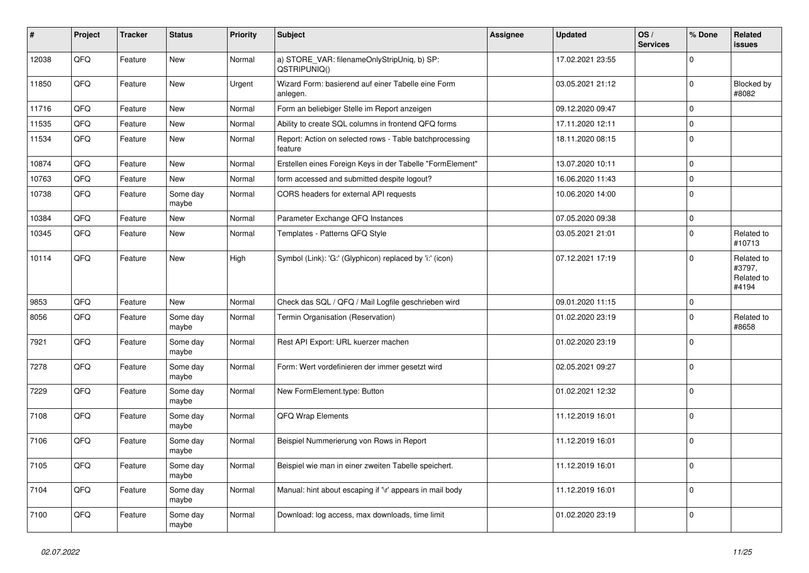| $\vert$ # | Project | <b>Tracker</b> | <b>Status</b>     | <b>Priority</b> | <b>Subject</b>                                                     | <b>Assignee</b> | <b>Updated</b>   | OS/<br><b>Services</b> | % Done      | Related<br>issues                           |
|-----------|---------|----------------|-------------------|-----------------|--------------------------------------------------------------------|-----------------|------------------|------------------------|-------------|---------------------------------------------|
| 12038     | QFQ     | Feature        | <b>New</b>        | Normal          | a) STORE_VAR: filenameOnlyStripUniq, b) SP:<br>QSTRIPUNIQ()        |                 | 17.02.2021 23:55 |                        | $\Omega$    |                                             |
| 11850     | QFQ     | Feature        | <b>New</b>        | Urgent          | Wizard Form: basierend auf einer Tabelle eine Form<br>anlegen.     |                 | 03.05.2021 21:12 |                        | $\mathbf 0$ | Blocked by<br>#8082                         |
| 11716     | QFQ     | Feature        | New               | Normal          | Form an beliebiger Stelle im Report anzeigen                       |                 | 09.12.2020 09:47 |                        | $\Omega$    |                                             |
| 11535     | QFQ     | Feature        | <b>New</b>        | Normal          | Ability to create SQL columns in frontend QFQ forms                |                 | 17.11.2020 12:11 |                        | $\Omega$    |                                             |
| 11534     | QFQ     | Feature        | New               | Normal          | Report: Action on selected rows - Table batchprocessing<br>feature |                 | 18.11.2020 08:15 |                        | $\Omega$    |                                             |
| 10874     | QFQ     | Feature        | <b>New</b>        | Normal          | Erstellen eines Foreign Keys in der Tabelle "FormElement"          |                 | 13.07.2020 10:11 |                        | $\Omega$    |                                             |
| 10763     | QFQ     | Feature        | <b>New</b>        | Normal          | form accessed and submitted despite logout?                        |                 | 16.06.2020 11:43 |                        | $\Omega$    |                                             |
| 10738     | QFQ     | Feature        | Some day<br>maybe | Normal          | CORS headers for external API requests                             |                 | 10.06.2020 14:00 |                        | $\Omega$    |                                             |
| 10384     | QFQ     | Feature        | New               | Normal          | Parameter Exchange QFQ Instances                                   |                 | 07.05.2020 09:38 |                        | $\mathbf 0$ |                                             |
| 10345     | QFQ     | Feature        | <b>New</b>        | Normal          | Templates - Patterns QFQ Style                                     |                 | 03.05.2021 21:01 |                        | $\Omega$    | Related to<br>#10713                        |
| 10114     | QFQ     | Feature        | <b>New</b>        | High            | Symbol (Link): 'G:' (Glyphicon) replaced by 'i:' (icon)            |                 | 07.12.2021 17:19 |                        | $\Omega$    | Related to<br>#3797,<br>Related to<br>#4194 |
| 9853      | QFQ     | Feature        | <b>New</b>        | Normal          | Check das SQL / QFQ / Mail Logfile geschrieben wird                |                 | 09.01.2020 11:15 |                        | $\Omega$    |                                             |
| 8056      | QFQ     | Feature        | Some day<br>maybe | Normal          | Termin Organisation (Reservation)                                  |                 | 01.02.2020 23:19 |                        | $\Omega$    | Related to<br>#8658                         |
| 7921      | QFQ     | Feature        | Some day<br>maybe | Normal          | Rest API Export: URL kuerzer machen                                |                 | 01.02.2020 23:19 |                        | $\Omega$    |                                             |
| 7278      | QFQ     | Feature        | Some day<br>maybe | Normal          | Form: Wert vordefinieren der immer gesetzt wird                    |                 | 02.05.2021 09:27 |                        | $\mathbf 0$ |                                             |
| 7229      | QFQ     | Feature        | Some day<br>maybe | Normal          | New FormElement.type: Button                                       |                 | 01.02.2021 12:32 |                        | $\Omega$    |                                             |
| 7108      | QFQ     | Feature        | Some day<br>maybe | Normal          | QFQ Wrap Elements                                                  |                 | 11.12.2019 16:01 |                        | $\Omega$    |                                             |
| 7106      | QFQ     | Feature        | Some day<br>maybe | Normal          | Beispiel Nummerierung von Rows in Report                           |                 | 11.12.2019 16:01 |                        | $\mathbf 0$ |                                             |
| 7105      | QFQ     | Feature        | Some day<br>maybe | Normal          | Beispiel wie man in einer zweiten Tabelle speichert.               |                 | 11.12.2019 16:01 |                        | $\Omega$    |                                             |
| 7104      | QFQ     | Feature        | Some day<br>maybe | Normal          | Manual: hint about escaping if '\r' appears in mail body           |                 | 11.12.2019 16:01 |                        | $\Omega$    |                                             |
| 7100      | QFQ     | Feature        | Some day<br>maybe | Normal          | Download: log access, max downloads, time limit                    |                 | 01.02.2020 23:19 |                        | $\Omega$    |                                             |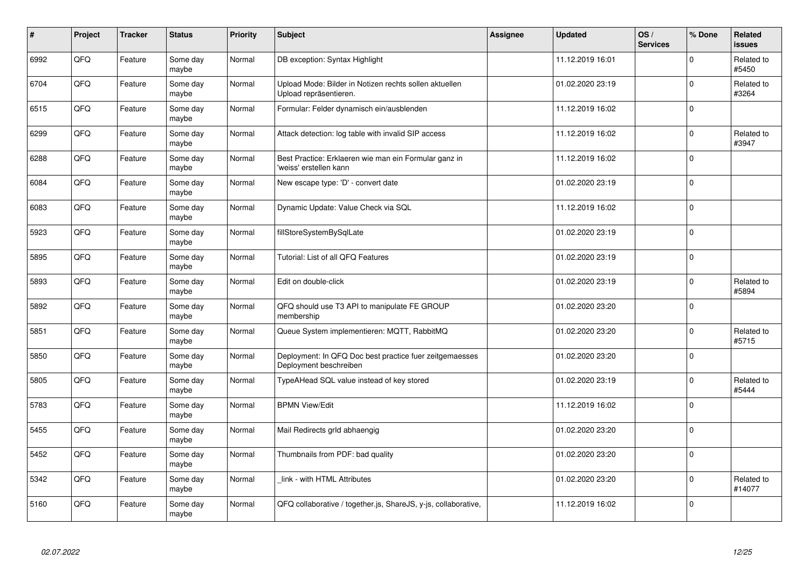| #    | Project    | <b>Tracker</b> | <b>Status</b>     | <b>Priority</b> | <b>Subject</b>                                                                    | <b>Assignee</b> | <b>Updated</b>   | OS/<br><b>Services</b> | % Done      | Related<br><b>issues</b> |
|------|------------|----------------|-------------------|-----------------|-----------------------------------------------------------------------------------|-----------------|------------------|------------------------|-------------|--------------------------|
| 6992 | QFQ        | Feature        | Some day<br>maybe | Normal          | DB exception: Syntax Highlight                                                    |                 | 11.12.2019 16:01 |                        | $\Omega$    | Related to<br>#5450      |
| 6704 | QFQ        | Feature        | Some day<br>maybe | Normal          | Upload Mode: Bilder in Notizen rechts sollen aktuellen<br>Upload repräsentieren.  |                 | 01.02.2020 23:19 |                        | $\mathbf 0$ | Related to<br>#3264      |
| 6515 | QFQ        | Feature        | Some day<br>maybe | Normal          | Formular: Felder dynamisch ein/ausblenden                                         |                 | 11.12.2019 16:02 |                        | $\mathbf 0$ |                          |
| 6299 | QFQ        | Feature        | Some day<br>maybe | Normal          | Attack detection: log table with invalid SIP access                               |                 | 11.12.2019 16:02 |                        | $\Omega$    | Related to<br>#3947      |
| 6288 | QFQ        | Feature        | Some day<br>maybe | Normal          | Best Practice: Erklaeren wie man ein Formular ganz in<br>'weiss' erstellen kann   |                 | 11.12.2019 16:02 |                        | $\mathbf 0$ |                          |
| 6084 | <b>OFO</b> | Feature        | Some day<br>maybe | Normal          | New escape type: 'D' - convert date                                               |                 | 01.02.2020 23:19 |                        | $\pmb{0}$   |                          |
| 6083 | QFQ        | Feature        | Some day<br>maybe | Normal          | Dynamic Update: Value Check via SQL                                               |                 | 11.12.2019 16:02 |                        | $\mathbf 0$ |                          |
| 5923 | QFQ        | Feature        | Some day<br>maybe | Normal          | fillStoreSystemBySqlLate                                                          |                 | 01.02.2020 23:19 |                        | $\Omega$    |                          |
| 5895 | QFQ        | Feature        | Some day<br>maybe | Normal          | Tutorial: List of all QFQ Features                                                |                 | 01.02.2020 23:19 |                        | $\Omega$    |                          |
| 5893 | QFQ        | Feature        | Some day<br>maybe | Normal          | Edit on double-click                                                              |                 | 01.02.2020 23:19 |                        | $\mathbf 0$ | Related to<br>#5894      |
| 5892 | QFQ        | Feature        | Some day<br>maybe | Normal          | QFQ should use T3 API to manipulate FE GROUP<br>membership                        |                 | 01.02.2020 23:20 |                        | $\mathbf 0$ |                          |
| 5851 | QFQ        | Feature        | Some day<br>maybe | Normal          | Queue System implementieren: MQTT, RabbitMQ                                       |                 | 01.02.2020 23:20 |                        | $\mathbf 0$ | Related to<br>#5715      |
| 5850 | QFQ        | Feature        | Some day<br>maybe | Normal          | Deployment: In QFQ Doc best practice fuer zeitgemaesses<br>Deployment beschreiben |                 | 01.02.2020 23:20 |                        | $\mathbf 0$ |                          |
| 5805 | QFQ        | Feature        | Some day<br>maybe | Normal          | TypeAHead SQL value instead of key stored                                         |                 | 01.02.2020 23:19 |                        | $\mathbf 0$ | Related to<br>#5444      |
| 5783 | QFQ        | Feature        | Some day<br>maybe | Normal          | <b>BPMN View/Edit</b>                                                             |                 | 11.12.2019 16:02 |                        | $\Omega$    |                          |
| 5455 | QFQ        | Feature        | Some day<br>maybe | Normal          | Mail Redirects grld abhaengig                                                     |                 | 01.02.2020 23:20 |                        | $\Omega$    |                          |
| 5452 | QFQ        | Feature        | Some day<br>maybe | Normal          | Thumbnails from PDF: bad quality                                                  |                 | 01.02.2020 23:20 |                        | $\mathbf 0$ |                          |
| 5342 | QFQ        | Feature        | Some day<br>maybe | Normal          | link - with HTML Attributes                                                       |                 | 01.02.2020 23:20 |                        | $\pmb{0}$   | Related to<br>#14077     |
| 5160 | QFQ        | Feature        | Some day<br>maybe | Normal          | QFQ collaborative / together.js, ShareJS, y-js, collaborative,                    |                 | 11.12.2019 16:02 |                        | $\Omega$    |                          |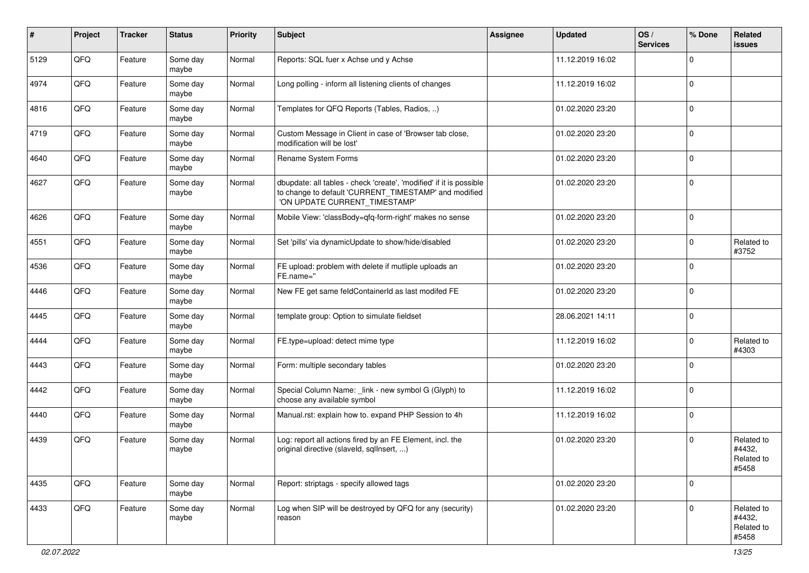| #    | Project | <b>Tracker</b> | <b>Status</b>     | <b>Priority</b> | <b>Subject</b>                                                                                                                                                | <b>Assignee</b> | <b>Updated</b>   | OS/<br><b>Services</b> | % Done      | Related<br>issues                           |
|------|---------|----------------|-------------------|-----------------|---------------------------------------------------------------------------------------------------------------------------------------------------------------|-----------------|------------------|------------------------|-------------|---------------------------------------------|
| 5129 | QFQ     | Feature        | Some day<br>maybe | Normal          | Reports: SQL fuer x Achse und y Achse                                                                                                                         |                 | 11.12.2019 16:02 |                        | $\Omega$    |                                             |
| 4974 | QFQ     | Feature        | Some day<br>maybe | Normal          | Long polling - inform all listening clients of changes                                                                                                        |                 | 11.12.2019 16:02 |                        | $\mathbf 0$ |                                             |
| 4816 | QFQ     | Feature        | Some day<br>maybe | Normal          | Templates for QFQ Reports (Tables, Radios, )                                                                                                                  |                 | 01.02.2020 23:20 |                        | $\Omega$    |                                             |
| 4719 | QFQ     | Feature        | Some day<br>maybe | Normal          | Custom Message in Client in case of 'Browser tab close,<br>modification will be lost'                                                                         |                 | 01.02.2020 23:20 |                        | $\mathbf 0$ |                                             |
| 4640 | QFQ     | Feature        | Some day<br>maybe | Normal          | Rename System Forms                                                                                                                                           |                 | 01.02.2020 23:20 |                        | $\mathbf 0$ |                                             |
| 4627 | QFQ     | Feature        | Some day<br>maybe | Normal          | dbupdate: all tables - check 'create', 'modified' if it is possible<br>to change to default 'CURRENT_TIMESTAMP' and modified<br>'ON UPDATE CURRENT_TIMESTAMP' |                 | 01.02.2020 23:20 |                        | $\Omega$    |                                             |
| 4626 | QFQ     | Feature        | Some day<br>maybe | Normal          | Mobile View: 'classBody=qfq-form-right' makes no sense                                                                                                        |                 | 01.02.2020 23:20 |                        | $\Omega$    |                                             |
| 4551 | QFQ     | Feature        | Some day<br>maybe | Normal          | Set 'pills' via dynamicUpdate to show/hide/disabled                                                                                                           |                 | 01.02.2020 23:20 |                        | $\Omega$    | Related to<br>#3752                         |
| 4536 | QFQ     | Feature        | Some day<br>maybe | Normal          | FE upload: problem with delete if mutliple uploads an<br>FE.name="                                                                                            |                 | 01.02.2020 23:20 |                        | $\Omega$    |                                             |
| 4446 | QFQ     | Feature        | Some day<br>maybe | Normal          | New FE get same feldContainerId as last modifed FE                                                                                                            |                 | 01.02.2020 23:20 |                        | $\mathbf 0$ |                                             |
| 4445 | QFQ     | Feature        | Some day<br>maybe | Normal          | template group: Option to simulate fieldset                                                                                                                   |                 | 28.06.2021 14:11 |                        | $\Omega$    |                                             |
| 4444 | QFQ     | Feature        | Some day<br>maybe | Normal          | FE.type=upload: detect mime type                                                                                                                              |                 | 11.12.2019 16:02 |                        | $\Omega$    | Related to<br>#4303                         |
| 4443 | QFQ     | Feature        | Some day<br>maybe | Normal          | Form: multiple secondary tables                                                                                                                               |                 | 01.02.2020 23:20 |                        | $\Omega$    |                                             |
| 4442 | QFQ     | Feature        | Some day<br>maybe | Normal          | Special Column Name: _link - new symbol G (Glyph) to<br>choose any available symbol                                                                           |                 | 11.12.2019 16:02 |                        | $\Omega$    |                                             |
| 4440 | QFQ     | Feature        | Some day<br>maybe | Normal          | Manual.rst: explain how to. expand PHP Session to 4h                                                                                                          |                 | 11.12.2019 16:02 |                        | 0           |                                             |
| 4439 | QFQ     | Feature        | Some day<br>maybe | Normal          | Log: report all actions fired by an FE Element, incl. the<br>original directive (slaveld, sqlInsert, )                                                        |                 | 01.02.2020 23:20 |                        | $\Omega$    | Related to<br>#4432,<br>Related to<br>#5458 |
| 4435 | QFQ     | Feature        | Some day<br>maybe | Normal          | Report: striptags - specify allowed tags                                                                                                                      |                 | 01.02.2020 23:20 |                        | $\mathbf 0$ |                                             |
| 4433 | QFQ     | Feature        | Some day<br>maybe | Normal          | Log when SIP will be destroyed by QFQ for any (security)<br>reason                                                                                            |                 | 01.02.2020 23:20 |                        | $\Omega$    | Related to<br>#4432,<br>Related to<br>#5458 |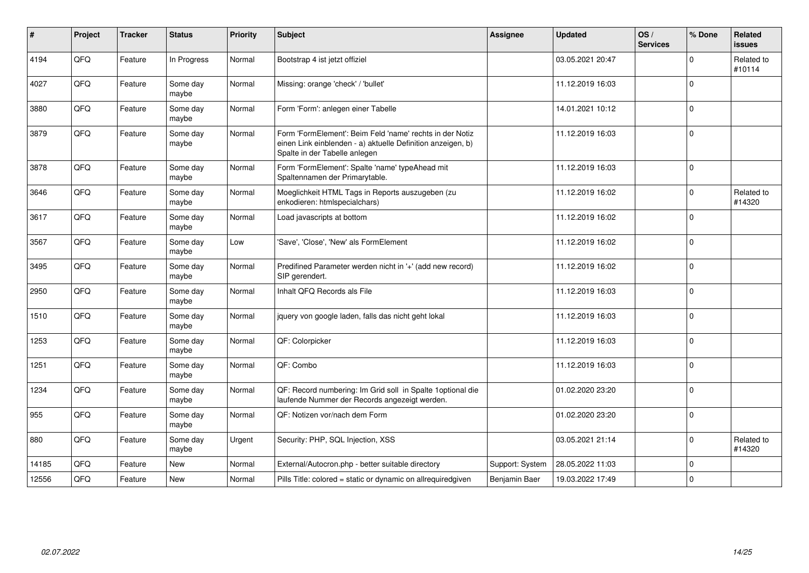| $\vert$ # | Project | <b>Tracker</b> | <b>Status</b>     | <b>Priority</b> | <b>Subject</b>                                                                                                                                           | <b>Assignee</b> | <b>Updated</b>   | OS/<br><b>Services</b> | % Done       | Related<br>issues    |
|-----------|---------|----------------|-------------------|-----------------|----------------------------------------------------------------------------------------------------------------------------------------------------------|-----------------|------------------|------------------------|--------------|----------------------|
| 4194      | QFQ     | Feature        | In Progress       | Normal          | Bootstrap 4 ist jetzt offiziel                                                                                                                           |                 | 03.05.2021 20:47 |                        | <sup>0</sup> | Related to<br>#10114 |
| 4027      | QFQ     | Feature        | Some day<br>maybe | Normal          | Missing: orange 'check' / 'bullet'                                                                                                                       |                 | 11.12.2019 16:03 |                        | $\Omega$     |                      |
| 3880      | QFQ     | Feature        | Some day<br>maybe | Normal          | Form 'Form': anlegen einer Tabelle                                                                                                                       |                 | 14.01.2021 10:12 |                        | $\Omega$     |                      |
| 3879      | QFQ     | Feature        | Some day<br>maybe | Normal          | Form 'FormElement': Beim Feld 'name' rechts in der Notiz<br>einen Link einblenden - a) aktuelle Definition anzeigen, b)<br>Spalte in der Tabelle anlegen |                 | 11.12.2019 16:03 |                        | $\Omega$     |                      |
| 3878      | QFQ     | Feature        | Some day<br>maybe | Normal          | Form 'FormElement': Spalte 'name' typeAhead mit<br>Spaltennamen der Primarytable.                                                                        |                 | 11.12.2019 16:03 |                        | $\Omega$     |                      |
| 3646      | QFQ     | Feature        | Some day<br>maybe | Normal          | Moeglichkeit HTML Tags in Reports auszugeben (zu<br>enkodieren: htmlspecialchars)                                                                        |                 | 11.12.2019 16:02 |                        | $\Omega$     | Related to<br>#14320 |
| 3617      | QFQ     | Feature        | Some day<br>maybe | Normal          | Load javascripts at bottom                                                                                                                               |                 | 11.12.2019 16:02 |                        | $\Omega$     |                      |
| 3567      | QFQ     | Feature        | Some day<br>maybe | Low             | 'Save', 'Close', 'New' als FormElement                                                                                                                   |                 | 11.12.2019 16:02 |                        | $\Omega$     |                      |
| 3495      | QFQ     | Feature        | Some day<br>maybe | Normal          | Predifined Parameter werden nicht in '+' (add new record)<br>SIP gerendert.                                                                              |                 | 11.12.2019 16:02 |                        | $\Omega$     |                      |
| 2950      | QFQ     | Feature        | Some day<br>maybe | Normal          | Inhalt QFQ Records als File                                                                                                                              |                 | 11.12.2019 16:03 |                        | $\Omega$     |                      |
| 1510      | QFQ     | Feature        | Some day<br>maybe | Normal          | jquery von google laden, falls das nicht geht lokal                                                                                                      |                 | 11.12.2019 16:03 |                        | $\Omega$     |                      |
| 1253      | QFQ     | Feature        | Some day<br>maybe | Normal          | QF: Colorpicker                                                                                                                                          |                 | 11.12.2019 16:03 |                        | $\Omega$     |                      |
| 1251      | QFQ     | Feature        | Some day<br>maybe | Normal          | QF: Combo                                                                                                                                                |                 | 11.12.2019 16:03 |                        | $\Omega$     |                      |
| 1234      | QFQ     | Feature        | Some day<br>maybe | Normal          | QF: Record numbering: Im Grid soll in Spalte 1optional die<br>laufende Nummer der Records angezeigt werden.                                              |                 | 01.02.2020 23:20 |                        | $\Omega$     |                      |
| 955       | QFQ     | Feature        | Some day<br>maybe | Normal          | QF: Notizen vor/nach dem Form                                                                                                                            |                 | 01.02.2020 23:20 |                        | $\Omega$     |                      |
| 880       | QFQ     | Feature        | Some day<br>maybe | Urgent          | Security: PHP, SQL Injection, XSS                                                                                                                        |                 | 03.05.2021 21:14 |                        | $\Omega$     | Related to<br>#14320 |
| 14185     | QFQ     | Feature        | <b>New</b>        | Normal          | External/Autocron.php - better suitable directory                                                                                                        | Support: System | 28.05.2022 11:03 |                        | $\mathbf 0$  |                      |
| 12556     | QFQ     | Feature        | <b>New</b>        | Normal          | Pills Title: colored = static or dynamic on allrequiredgiven                                                                                             | Benjamin Baer   | 19.03.2022 17:49 |                        | $\Omega$     |                      |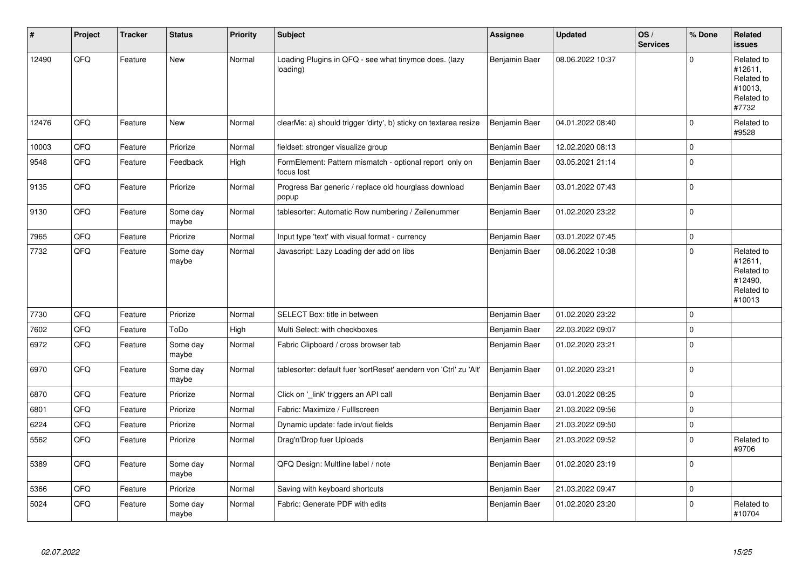| #     | Project | <b>Tracker</b> | <b>Status</b>     | <b>Priority</b> | <b>Subject</b>                                                        | <b>Assignee</b> | <b>Updated</b>   | OS/<br><b>Services</b> | % Done      | <b>Related</b><br><b>issues</b>                                        |
|-------|---------|----------------|-------------------|-----------------|-----------------------------------------------------------------------|-----------------|------------------|------------------------|-------------|------------------------------------------------------------------------|
| 12490 | QFQ     | Feature        | <b>New</b>        | Normal          | Loading Plugins in QFQ - see what tinymce does. (lazy<br>loading)     | Benjamin Baer   | 08.06.2022 10:37 |                        | $\Omega$    | Related to<br>#12611,<br>Related to<br>#10013,<br>Related to<br>#7732  |
| 12476 | QFQ     | Feature        | <b>New</b>        | Normal          | clearMe: a) should trigger 'dirty', b) sticky on textarea resize      | Benjamin Baer   | 04.01.2022 08:40 |                        | $\mathbf 0$ | Related to<br>#9528                                                    |
| 10003 | QFQ     | Feature        | Priorize          | Normal          | fieldset: stronger visualize group                                    | Benjamin Baer   | 12.02.2020 08:13 |                        | $\mathbf 0$ |                                                                        |
| 9548  | QFQ     | Feature        | Feedback          | High            | FormElement: Pattern mismatch - optional report only on<br>focus lost | Benjamin Baer   | 03.05.2021 21:14 |                        | $\mathbf 0$ |                                                                        |
| 9135  | QFQ     | Feature        | Priorize          | Normal          | Progress Bar generic / replace old hourglass download<br>popup        | Benjamin Baer   | 03.01.2022 07:43 |                        | $\Omega$    |                                                                        |
| 9130  | QFQ     | Feature        | Some day<br>maybe | Normal          | tablesorter: Automatic Row numbering / Zeilenummer                    | Benjamin Baer   | 01.02.2020 23:22 |                        | l 0         |                                                                        |
| 7965  | QFQ     | Feature        | Priorize          | Normal          | Input type 'text' with visual format - currency                       | Benjamin Baer   | 03.01.2022 07:45 |                        | $\mathbf 0$ |                                                                        |
| 7732  | QFQ     | Feature        | Some day<br>maybe | Normal          | Javascript: Lazy Loading der add on libs                              | Benjamin Baer   | 08.06.2022 10:38 |                        | $\Omega$    | Related to<br>#12611,<br>Related to<br>#12490,<br>Related to<br>#10013 |
| 7730  | QFQ     | Feature        | Priorize          | Normal          | SELECT Box: title in between                                          | Benjamin Baer   | 01.02.2020 23:22 |                        | $\Omega$    |                                                                        |
| 7602  | QFQ     | Feature        | ToDo              | High            | Multi Select: with checkboxes                                         | Benjamin Baer   | 22.03.2022 09:07 |                        | $\mathbf 0$ |                                                                        |
| 6972  | QFQ     | Feature        | Some day<br>maybe | Normal          | Fabric Clipboard / cross browser tab                                  | Benjamin Baer   | 01.02.2020 23:21 |                        | 0 I         |                                                                        |
| 6970  | QFQ     | Feature        | Some day<br>maybe | Normal          | tablesorter: default fuer 'sortReset' aendern von 'Ctrl' zu 'Alt'     | Benjamin Baer   | 01.02.2020 23:21 |                        | l 0         |                                                                        |
| 6870  | QFQ     | Feature        | Priorize          | Normal          | Click on '_link' triggers an API call                                 | Benjamin Baer   | 03.01.2022 08:25 |                        | $\Omega$    |                                                                        |
| 6801  | QFQ     | Feature        | Priorize          | Normal          | Fabric: Maximize / Fulllscreen                                        | Benjamin Baer   | 21.03.2022 09:56 |                        | l 0         |                                                                        |
| 6224  | QFQ     | Feature        | Priorize          | Normal          | Dynamic update: fade in/out fields                                    | Benjamin Baer   | 21.03.2022 09:50 |                        | $\mathbf 0$ |                                                                        |
| 5562  | QFQ     | Feature        | Priorize          | Normal          | Drag'n'Drop fuer Uploads                                              | Benjamin Baer   | 21.03.2022 09:52 |                        | $\Omega$    | Related to<br>#9706                                                    |
| 5389  | QFQ     | Feature        | Some day<br>maybe | Normal          | QFQ Design: Multline label / note                                     | Benjamin Baer   | 01.02.2020 23:19 |                        | 0 I         |                                                                        |
| 5366  | QFQ     | Feature        | Priorize          | Normal          | Saving with keyboard shortcuts                                        | Benjamin Baer   | 21.03.2022 09:47 |                        | l 0         |                                                                        |
| 5024  | QFQ     | Feature        | Some day<br>maybe | Normal          | Fabric: Generate PDF with edits                                       | Benjamin Baer   | 01.02.2020 23:20 |                        | $\Omega$    | Related to<br>#10704                                                   |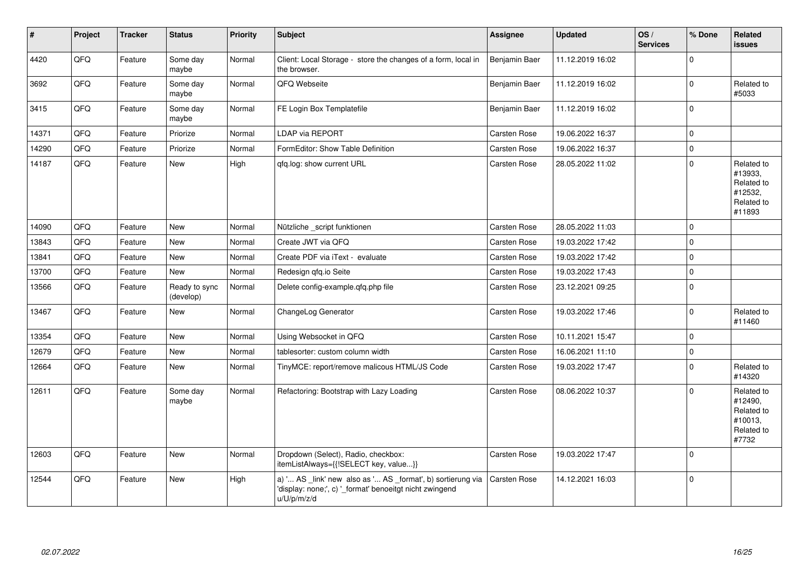| #     | Project | <b>Tracker</b> | <b>Status</b>              | <b>Priority</b> | <b>Subject</b>                                                                                                                        | Assignee      | <b>Updated</b>   | OS/<br><b>Services</b> | % Done      | Related<br>issues                                                      |
|-------|---------|----------------|----------------------------|-----------------|---------------------------------------------------------------------------------------------------------------------------------------|---------------|------------------|------------------------|-------------|------------------------------------------------------------------------|
| 4420  | QFQ     | Feature        | Some day<br>maybe          | Normal          | Client: Local Storage - store the changes of a form, local in<br>the browser.                                                         | Benjamin Baer | 11.12.2019 16:02 |                        | $\Omega$    |                                                                        |
| 3692  | QFQ     | Feature        | Some day<br>maybe          | Normal          | QFQ Webseite                                                                                                                          | Benjamin Baer | 11.12.2019 16:02 |                        | $\Omega$    | Related to<br>#5033                                                    |
| 3415  | QFQ     | Feature        | Some day<br>maybe          | Normal          | FE Login Box Templatefile                                                                                                             | Benjamin Baer | 11.12.2019 16:02 |                        | $\mathbf 0$ |                                                                        |
| 14371 | QFQ     | Feature        | Priorize                   | Normal          | LDAP via REPORT                                                                                                                       | Carsten Rose  | 19.06.2022 16:37 |                        | $\mathbf 0$ |                                                                        |
| 14290 | QFQ     | Feature        | Priorize                   | Normal          | FormEditor: Show Table Definition                                                                                                     | Carsten Rose  | 19.06.2022 16:37 |                        | $\mathbf 0$ |                                                                        |
| 14187 | QFQ     | Feature        | <b>New</b>                 | High            | gfg.log: show current URL                                                                                                             | Carsten Rose  | 28.05.2022 11:02 |                        | $\mathbf 0$ | Related to<br>#13933,<br>Related to<br>#12532,<br>Related to<br>#11893 |
| 14090 | QFQ     | Feature        | <b>New</b>                 | Normal          | Nützliche _script funktionen                                                                                                          | Carsten Rose  | 28.05.2022 11:03 |                        | $\Omega$    |                                                                        |
| 13843 | QFQ     | Feature        | <b>New</b>                 | Normal          | Create JWT via QFQ                                                                                                                    | Carsten Rose  | 19.03.2022 17:42 |                        | $\mathbf 0$ |                                                                        |
| 13841 | QFQ     | Feature        | <b>New</b>                 | Normal          | Create PDF via iText - evaluate                                                                                                       | Carsten Rose  | 19.03.2022 17:42 |                        | $\mathbf 0$ |                                                                        |
| 13700 | QFQ     | Feature        | <b>New</b>                 | Normal          | Redesign qfq.io Seite                                                                                                                 | Carsten Rose  | 19.03.2022 17:43 |                        | $\Omega$    |                                                                        |
| 13566 | QFQ     | Feature        | Ready to sync<br>(develop) | Normal          | Delete config-example.gfg.php file                                                                                                    | Carsten Rose  | 23.12.2021 09:25 |                        | $\mathbf 0$ |                                                                        |
| 13467 | QFQ     | Feature        | <b>New</b>                 | Normal          | ChangeLog Generator                                                                                                                   | Carsten Rose  | 19.03.2022 17:46 |                        | $\Omega$    | Related to<br>#11460                                                   |
| 13354 | QFQ     | Feature        | <b>New</b>                 | Normal          | Using Websocket in QFQ                                                                                                                | Carsten Rose  | 10.11.2021 15:47 |                        | $\Omega$    |                                                                        |
| 12679 | QFQ     | Feature        | <b>New</b>                 | Normal          | tablesorter: custom column width                                                                                                      | Carsten Rose  | 16.06.2021 11:10 |                        | $\mathbf 0$ |                                                                        |
| 12664 | QFQ     | Feature        | New                        | Normal          | TinyMCE: report/remove malicous HTML/JS Code                                                                                          | Carsten Rose  | 19.03.2022 17:47 |                        | $\Omega$    | Related to<br>#14320                                                   |
| 12611 | QFQ     | Feature        | Some day<br>maybe          | Normal          | Refactoring: Bootstrap with Lazy Loading                                                                                              | Carsten Rose  | 08.06.2022 10:37 |                        | $\Omega$    | Related to<br>#12490,<br>Related to<br>#10013,<br>Related to<br>#7732  |
| 12603 | QFQ     | Feature        | New                        | Normal          | Dropdown (Select), Radio, checkbox:<br>itemListAlways={{!SELECT key, value}}                                                          | Carsten Rose  | 19.03.2022 17:47 |                        | $\mathbf 0$ |                                                                        |
| 12544 | QFQ     | Feature        | <b>New</b>                 | High            | a) ' AS _link' new also as ' AS _format', b) sortierung via<br>'display: none;', c) '_format' benoeitgt nicht zwingend<br>u/U/p/m/z/d | Carsten Rose  | 14.12.2021 16:03 |                        | $\mathbf 0$ |                                                                        |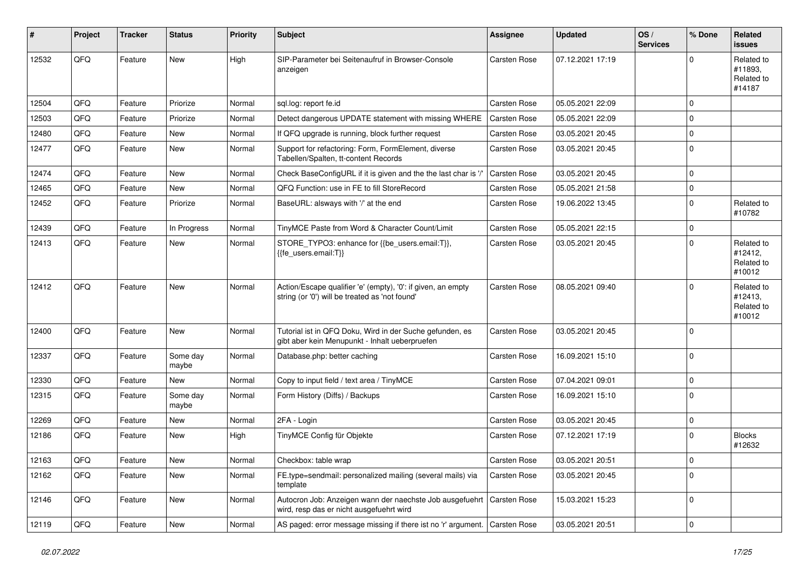| ∦     | Project | <b>Tracker</b> | <b>Status</b>     | <b>Priority</b> | Subject                                                                                                        | <b>Assignee</b> | <b>Updated</b>   | OS/<br><b>Services</b> | % Done      | Related<br>issues                             |
|-------|---------|----------------|-------------------|-----------------|----------------------------------------------------------------------------------------------------------------|-----------------|------------------|------------------------|-------------|-----------------------------------------------|
| 12532 | QFQ     | Feature        | <b>New</b>        | High            | SIP-Parameter bei Seitenaufruf in Browser-Console<br>anzeigen                                                  | Carsten Rose    | 07.12.2021 17:19 |                        | U           | Related to<br>#11893,<br>Related to<br>#14187 |
| 12504 | QFQ     | Feature        | Priorize          | Normal          | sql.log: report fe.id                                                                                          | Carsten Rose    | 05.05.2021 22:09 |                        | $\Omega$    |                                               |
| 12503 | QFQ     | Feature        | Priorize          | Normal          | Detect dangerous UPDATE statement with missing WHERE                                                           | Carsten Rose    | 05.05.2021 22:09 |                        | $\mathbf 0$ |                                               |
| 12480 | QFQ     | Feature        | New               | Normal          | If QFQ upgrade is running, block further request                                                               | Carsten Rose    | 03.05.2021 20:45 |                        | $\mathbf 0$ |                                               |
| 12477 | QFQ     | Feature        | New               | Normal          | Support for refactoring: Form, FormElement, diverse<br>Tabellen/Spalten, tt-content Records                    | Carsten Rose    | 03.05.2021 20:45 |                        | $\Omega$    |                                               |
| 12474 | QFQ     | Feature        | New               | Normal          | Check BaseConfigURL if it is given and the the last char is '/'                                                | Carsten Rose    | 03.05.2021 20:45 |                        | $\Omega$    |                                               |
| 12465 | QFQ     | Feature        | New               | Normal          | QFQ Function: use in FE to fill StoreRecord                                                                    | Carsten Rose    | 05.05.2021 21:58 |                        | $\mathbf 0$ |                                               |
| 12452 | QFQ     | Feature        | Priorize          | Normal          | BaseURL: alsways with '/' at the end                                                                           | Carsten Rose    | 19.06.2022 13:45 |                        | $\Omega$    | Related to<br>#10782                          |
| 12439 | QFQ     | Feature        | In Progress       | Normal          | TinyMCE Paste from Word & Character Count/Limit                                                                | Carsten Rose    | 05.05.2021 22:15 |                        | $\mathbf 0$ |                                               |
| 12413 | QFQ     | Feature        | New               | Normal          | STORE_TYPO3: enhance for {{be_users.email:T}},<br>{{fe users.email:T}}                                         | Carsten Rose    | 03.05.2021 20:45 |                        | $\Omega$    | Related to<br>#12412,<br>Related to<br>#10012 |
| 12412 | QFQ     | Feature        | New               | Normal          | Action/Escape qualifier 'e' (empty), '0': if given, an empty<br>string (or '0') will be treated as 'not found' | Carsten Rose    | 08.05.2021 09:40 |                        | $\Omega$    | Related to<br>#12413,<br>Related to<br>#10012 |
| 12400 | QFQ     | Feature        | <b>New</b>        | Normal          | Tutorial ist in QFQ Doku, Wird in der Suche gefunden, es<br>gibt aber kein Menupunkt - Inhalt ueberpruefen     | Carsten Rose    | 03.05.2021 20:45 |                        | $\Omega$    |                                               |
| 12337 | QFQ     | Feature        | Some day<br>maybe | Normal          | Database.php: better caching                                                                                   | Carsten Rose    | 16.09.2021 15:10 |                        | $\Omega$    |                                               |
| 12330 | QFQ     | Feature        | New               | Normal          | Copy to input field / text area / TinyMCE                                                                      | Carsten Rose    | 07.04.2021 09:01 |                        | $\Omega$    |                                               |
| 12315 | QFQ     | Feature        | Some day<br>maybe | Normal          | Form History (Diffs) / Backups                                                                                 | Carsten Rose    | 16.09.2021 15:10 |                        | $\mathbf 0$ |                                               |
| 12269 | QFQ     | Feature        | New               | Normal          | 2FA - Login                                                                                                    | Carsten Rose    | 03.05.2021 20:45 |                        | 0           |                                               |
| 12186 | QFQ     | Feature        | New               | High            | TinyMCE Config für Objekte                                                                                     | Carsten Rose    | 07.12.2021 17:19 |                        | $\Omega$    | <b>Blocks</b><br>#12632                       |
| 12163 | QFQ     | Feature        | New               | Normal          | Checkbox: table wrap                                                                                           | Carsten Rose    | 03.05.2021 20:51 |                        | 0           |                                               |
| 12162 | QFQ     | Feature        | New               | Normal          | FE.type=sendmail: personalized mailing (several mails) via<br>template                                         | Carsten Rose    | 03.05.2021 20:45 |                        | $\mathbf 0$ |                                               |
| 12146 | QFQ     | Feature        | New               | Normal          | Autocron Job: Anzeigen wann der naechste Job ausgefuehrt<br>wird, resp das er nicht ausgefuehrt wird           | Carsten Rose    | 15.03.2021 15:23 |                        | $\mathbf 0$ |                                               |
| 12119 | QFQ     | Feature        | New               | Normal          | AS paged: error message missing if there ist no 'r' argument.                                                  | Carsten Rose    | 03.05.2021 20:51 |                        | 0           |                                               |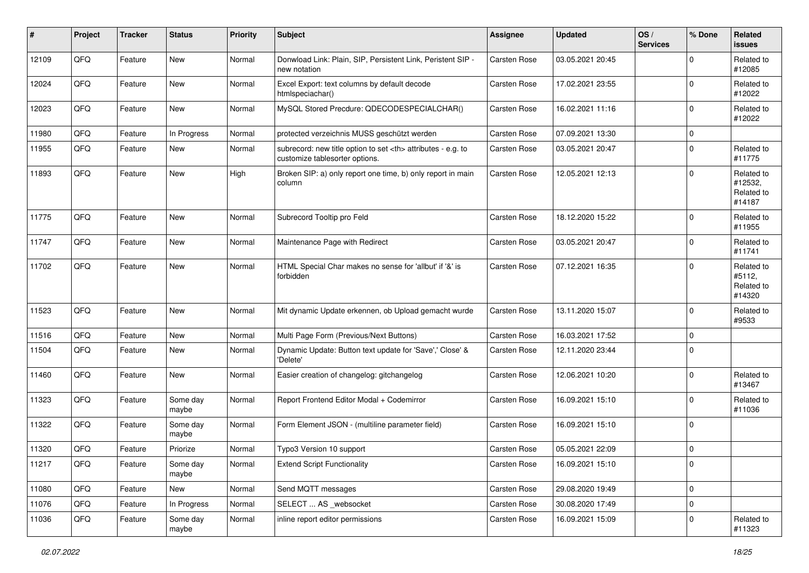| ∦     | Project | <b>Tracker</b> | <b>Status</b>     | <b>Priority</b> | Subject                                                                                              | <b>Assignee</b>                                        | <b>Updated</b>   | OS/<br><b>Services</b> | % Done      | Related<br>issues                             |                      |
|-------|---------|----------------|-------------------|-----------------|------------------------------------------------------------------------------------------------------|--------------------------------------------------------|------------------|------------------------|-------------|-----------------------------------------------|----------------------|
| 12109 | QFQ     | Feature        | New               | Normal          | Donwload Link: Plain, SIP, Persistent Link, Peristent SIP -<br>new notation                          | Carsten Rose                                           | 03.05.2021 20:45 |                        | $\mathbf 0$ | Related to<br>#12085                          |                      |
| 12024 | QFQ     | Feature        | <b>New</b>        | Normal          | Excel Export: text columns by default decode<br>htmlspeciachar()                                     | Carsten Rose                                           | 17.02.2021 23:55 |                        | $\mathbf 0$ | Related to<br>#12022                          |                      |
| 12023 | QFQ     | Feature        | New               | Normal          | MySQL Stored Precdure: QDECODESPECIALCHAR()                                                          | Carsten Rose                                           | 16.02.2021 11:16 |                        | $\mathbf 0$ | Related to<br>#12022                          |                      |
| 11980 | QFQ     | Feature        | In Progress       | Normal          | protected verzeichnis MUSS geschützt werden                                                          | Carsten Rose                                           | 07.09.2021 13:30 |                        | 0           |                                               |                      |
| 11955 | QFQ     | Feature        | <b>New</b>        | Normal          | subrecord: new title option to set <th> attributes - e.g. to<br/>customize tablesorter options.</th> | attributes - e.g. to<br>customize tablesorter options. | Carsten Rose     | 03.05.2021 20:47       |             | $\mathbf 0$                                   | Related to<br>#11775 |
| 11893 | QFQ     | Feature        | New               | High            | Broken SIP: a) only report one time, b) only report in main<br>column                                | Carsten Rose                                           | 12.05.2021 12:13 |                        | $\mathbf 0$ | Related to<br>#12532,<br>Related to<br>#14187 |                      |
| 11775 | QFQ     | Feature        | <b>New</b>        | Normal          | Subrecord Tooltip pro Feld                                                                           | Carsten Rose                                           | 18.12.2020 15:22 |                        | $\mathbf 0$ | Related to<br>#11955                          |                      |
| 11747 | QFQ     | Feature        | New               | Normal          | Maintenance Page with Redirect                                                                       | Carsten Rose                                           | 03.05.2021 20:47 |                        | $\mathbf 0$ | Related to<br>#11741                          |                      |
| 11702 | QFQ     | Feature        | New               | Normal          | HTML Special Char makes no sense for 'allbut' if '&' is<br>forbidden                                 | Carsten Rose                                           | 07.12.2021 16:35 |                        | $\Omega$    | Related to<br>#5112,<br>Related to<br>#14320  |                      |
| 11523 | QFQ     | Feature        | New               | Normal          | Mit dynamic Update erkennen, ob Upload gemacht wurde                                                 | Carsten Rose                                           | 13.11.2020 15:07 |                        | $\mathbf 0$ | Related to<br>#9533                           |                      |
| 11516 | QFQ     | Feature        | New               | Normal          | Multi Page Form (Previous/Next Buttons)                                                              | Carsten Rose                                           | 16.03.2021 17:52 |                        | 0           |                                               |                      |
| 11504 | QFQ     | Feature        | New               | Normal          | Dynamic Update: Button text update for 'Save',' Close' &<br>'Delete'                                 | Carsten Rose                                           | 12.11.2020 23:44 |                        | $\Omega$    |                                               |                      |
| 11460 | QFQ     | Feature        | New               | Normal          | Easier creation of changelog: gitchangelog                                                           | Carsten Rose                                           | 12.06.2021 10:20 |                        | $\mathbf 0$ | Related to<br>#13467                          |                      |
| 11323 | QFQ     | Feature        | Some day<br>maybe | Normal          | Report Frontend Editor Modal + Codemirror                                                            | Carsten Rose                                           | 16.09.2021 15:10 |                        | $\mathbf 0$ | Related to<br>#11036                          |                      |
| 11322 | QFQ     | Feature        | Some day<br>maybe | Normal          | Form Element JSON - (multiline parameter field)                                                      | Carsten Rose                                           | 16.09.2021 15:10 |                        | $\mathbf 0$ |                                               |                      |
| 11320 | QFQ     | Feature        | Priorize          | Normal          | Typo3 Version 10 support                                                                             | Carsten Rose                                           | 05.05.2021 22:09 |                        | 0           |                                               |                      |
| 11217 | QFQ     | Feature        | Some day<br>maybe | Normal          | <b>Extend Script Functionality</b>                                                                   | Carsten Rose                                           | 16.09.2021 15:10 |                        | 0           |                                               |                      |
| 11080 | QFQ     | Feature        | New               | Normal          | Send MQTT messages                                                                                   | Carsten Rose                                           | 29.08.2020 19:49 |                        | $\mathbf 0$ |                                               |                      |
| 11076 | QFQ     | Feature        | In Progress       | Normal          | SELECT  AS _websocket                                                                                | Carsten Rose                                           | 30.08.2020 17:49 |                        | $\mathbf 0$ |                                               |                      |
| 11036 | QFQ     | Feature        | Some day<br>maybe | Normal          | inline report editor permissions                                                                     | Carsten Rose                                           | 16.09.2021 15:09 |                        | $\mathbf 0$ | Related to<br>#11323                          |                      |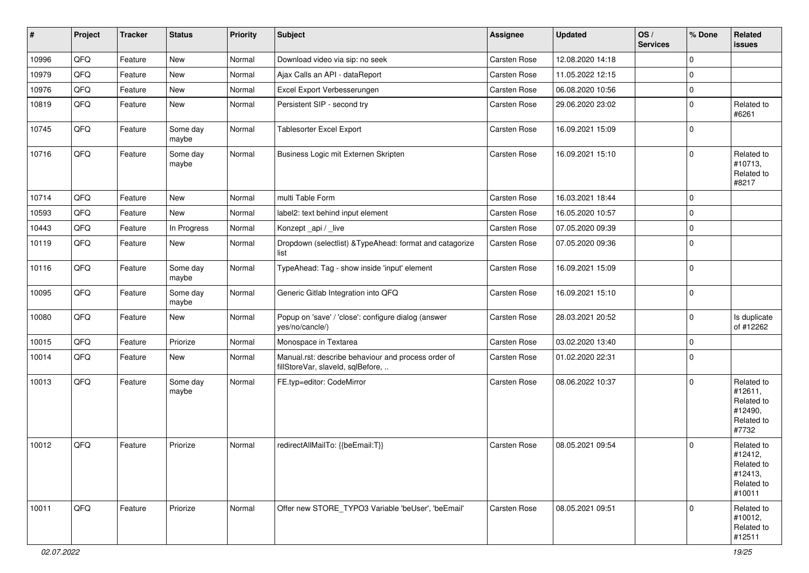| #     | Project | <b>Tracker</b> | <b>Status</b>     | <b>Priority</b> | <b>Subject</b>                                                                           | <b>Assignee</b> | <b>Updated</b>   | OS/<br><b>Services</b> | % Done      | Related<br>issues                                                      |
|-------|---------|----------------|-------------------|-----------------|------------------------------------------------------------------------------------------|-----------------|------------------|------------------------|-------------|------------------------------------------------------------------------|
| 10996 | QFQ     | Feature        | New               | Normal          | Download video via sip: no seek                                                          | Carsten Rose    | 12.08.2020 14:18 |                        | $\Omega$    |                                                                        |
| 10979 | QFQ     | Feature        | New               | Normal          | Ajax Calls an API - dataReport                                                           | Carsten Rose    | 11.05.2022 12:15 |                        | $\mathbf 0$ |                                                                        |
| 10976 | QFQ     | Feature        | New               | Normal          | Excel Export Verbesserungen                                                              | Carsten Rose    | 06.08.2020 10:56 |                        | $\Omega$    |                                                                        |
| 10819 | QFQ     | Feature        | New               | Normal          | Persistent SIP - second try                                                              | Carsten Rose    | 29.06.2020 23:02 |                        | $\mathbf 0$ | Related to<br>#6261                                                    |
| 10745 | QFQ     | Feature        | Some day<br>maybe | Normal          | <b>Tablesorter Excel Export</b>                                                          | Carsten Rose    | 16.09.2021 15:09 |                        | $\mathbf 0$ |                                                                        |
| 10716 | QFQ     | Feature        | Some day<br>maybe | Normal          | Business Logic mit Externen Skripten                                                     | Carsten Rose    | 16.09.2021 15:10 |                        | $\Omega$    | Related to<br>#10713,<br>Related to<br>#8217                           |
| 10714 | QFQ     | Feature        | <b>New</b>        | Normal          | multi Table Form                                                                         | Carsten Rose    | 16.03.2021 18:44 |                        | $\Omega$    |                                                                        |
| 10593 | QFQ     | Feature        | New               | Normal          | label2: text behind input element                                                        | Carsten Rose    | 16.05.2020 10:57 |                        | $\mathbf 0$ |                                                                        |
| 10443 | QFQ     | Feature        | In Progress       | Normal          | Konzept_api / _live                                                                      | Carsten Rose    | 07.05.2020 09:39 |                        | $\Omega$    |                                                                        |
| 10119 | QFQ     | Feature        | New               | Normal          | Dropdown (selectlist) & TypeAhead: format and catagorize<br>list                         | Carsten Rose    | 07.05.2020 09:36 |                        | $\mathbf 0$ |                                                                        |
| 10116 | QFQ     | Feature        | Some day<br>maybe | Normal          | TypeAhead: Tag - show inside 'input' element                                             | Carsten Rose    | 16.09.2021 15:09 |                        | 0           |                                                                        |
| 10095 | QFQ     | Feature        | Some day<br>maybe | Normal          | Generic Gitlab Integration into QFQ                                                      | Carsten Rose    | 16.09.2021 15:10 |                        | $\mathbf 0$ |                                                                        |
| 10080 | QFQ     | Feature        | New               | Normal          | Popup on 'save' / 'close': configure dialog (answer<br>yes/no/cancle/)                   | Carsten Rose    | 28.03.2021 20:52 |                        | $\Omega$    | Is duplicate<br>of #12262                                              |
| 10015 | QFQ     | Feature        | Priorize          | Normal          | Monospace in Textarea                                                                    | Carsten Rose    | 03.02.2020 13:40 |                        | $\mathbf 0$ |                                                                        |
| 10014 | QFQ     | Feature        | New               | Normal          | Manual.rst: describe behaviour and process order of<br>fillStoreVar, slaveId, sqlBefore, | Carsten Rose    | 01.02.2020 22:31 |                        | $\mathbf 0$ |                                                                        |
| 10013 | QFQ     | Feature        | Some day<br>maybe | Normal          | FE.typ=editor: CodeMirror                                                                | Carsten Rose    | 08.06.2022 10:37 |                        | $\Omega$    | Related to<br>#12611,<br>Related to<br>#12490,<br>Related to<br>#7732  |
| 10012 | QFQ     | Feature        | Priorize          | Normal          | redirectAllMailTo: {{beEmail:T}}                                                         | Carsten Rose    | 08.05.2021 09:54 |                        | $\Omega$    | Related to<br>#12412,<br>Related to<br>#12413,<br>Related to<br>#10011 |
| 10011 | QFQ     | Feature        | Priorize          | Normal          | Offer new STORE_TYPO3 Variable 'beUser', 'beEmail'                                       | Carsten Rose    | 08.05.2021 09:51 |                        | $\Omega$    | Related to<br>#10012,<br>Related to<br>#12511                          |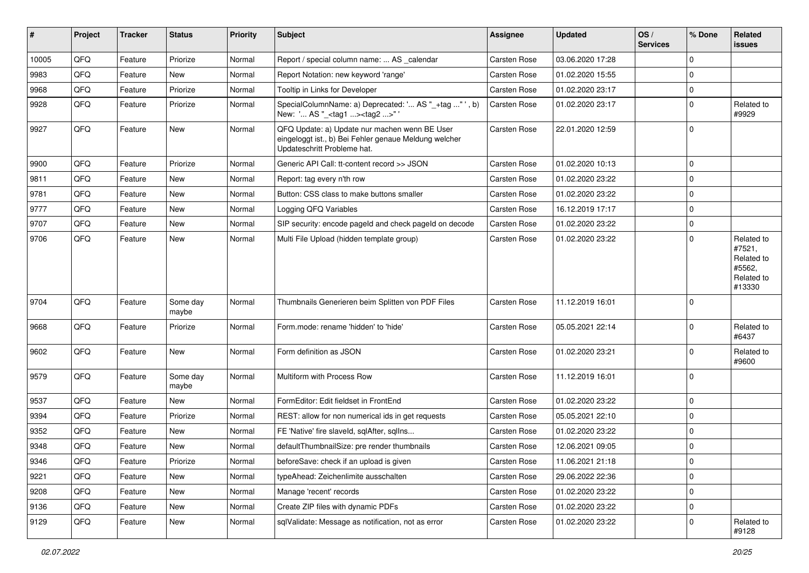| #     | Project | <b>Tracker</b> | <b>Status</b>     | <b>Priority</b> | <b>Subject</b>                                                                                                                        | <b>Assignee</b>     | <b>Updated</b>   | OS/<br><b>Services</b> | % Done      | Related<br>issues                                                    |
|-------|---------|----------------|-------------------|-----------------|---------------------------------------------------------------------------------------------------------------------------------------|---------------------|------------------|------------------------|-------------|----------------------------------------------------------------------|
| 10005 | QFQ     | Feature        | Priorize          | Normal          | Report / special column name:  AS calendar                                                                                            | Carsten Rose        | 03.06.2020 17:28 |                        | $\mathbf 0$ |                                                                      |
| 9983  | QFQ     | Feature        | New               | Normal          | Report Notation: new keyword 'range'                                                                                                  | Carsten Rose        | 01.02.2020 15:55 |                        | 0           |                                                                      |
| 9968  | QFQ     | Feature        | Priorize          | Normal          | Tooltip in Links for Developer                                                                                                        | Carsten Rose        | 01.02.2020 23:17 |                        | $\mathbf 0$ |                                                                      |
| 9928  | QFQ     | Feature        | Priorize          | Normal          | SpecialColumnName: a) Deprecated: ' AS "_+tag " ', b)<br>New: ' AS "_ <tag1><tag2>"</tag2></tag1>                                     | Carsten Rose        | 01.02.2020 23:17 |                        | $\mathbf 0$ | Related to<br>#9929                                                  |
| 9927  | QFQ     | Feature        | New               | Normal          | QFQ Update: a) Update nur machen wenn BE User<br>eingeloggt ist., b) Bei Fehler genaue Meldung welcher<br>Updateschritt Probleme hat. | Carsten Rose        | 22.01.2020 12:59 |                        | 0           |                                                                      |
| 9900  | QFQ     | Feature        | Priorize          | Normal          | Generic API Call: tt-content record >> JSON                                                                                           | Carsten Rose        | 01.02.2020 10:13 |                        | 0           |                                                                      |
| 9811  | QFQ     | Feature        | New               | Normal          | Report: tag every n'th row                                                                                                            | Carsten Rose        | 01.02.2020 23:22 |                        | 0           |                                                                      |
| 9781  | QFQ     | Feature        | New               | Normal          | Button: CSS class to make buttons smaller                                                                                             | Carsten Rose        | 01.02.2020 23:22 |                        | $\mathbf 0$ |                                                                      |
| 9777  | QFQ     | Feature        | <b>New</b>        | Normal          | Logging QFQ Variables                                                                                                                 | Carsten Rose        | 16.12.2019 17:17 |                        | $\mathbf 0$ |                                                                      |
| 9707  | QFQ     | Feature        | <b>New</b>        | Normal          | SIP security: encode pageld and check pageld on decode                                                                                | Carsten Rose        | 01.02.2020 23:22 |                        | $\Omega$    |                                                                      |
| 9706  | QFQ     | Feature        | New               | Normal          | Multi File Upload (hidden template group)                                                                                             | Carsten Rose        | 01.02.2020 23:22 |                        | $\mathbf 0$ | Related to<br>#7521,<br>Related to<br>#5562,<br>Related to<br>#13330 |
| 9704  | QFQ     | Feature        | Some day<br>maybe | Normal          | Thumbnails Generieren beim Splitten von PDF Files                                                                                     | <b>Carsten Rose</b> | 11.12.2019 16:01 |                        | 0           |                                                                      |
| 9668  | QFQ     | Feature        | Priorize          | Normal          | Form.mode: rename 'hidden' to 'hide'                                                                                                  | Carsten Rose        | 05.05.2021 22:14 |                        | 0           | Related to<br>#6437                                                  |
| 9602  | QFQ     | Feature        | <b>New</b>        | Normal          | Form definition as JSON                                                                                                               | Carsten Rose        | 01.02.2020 23:21 |                        | $\mathbf 0$ | Related to<br>#9600                                                  |
| 9579  | QFQ     | Feature        | Some day<br>maybe | Normal          | Multiform with Process Row                                                                                                            | Carsten Rose        | 11.12.2019 16:01 |                        | $\mathbf 0$ |                                                                      |
| 9537  | QFQ     | Feature        | New               | Normal          | FormEditor: Edit fieldset in FrontEnd                                                                                                 | Carsten Rose        | 01.02.2020 23:22 |                        | $\mathbf 0$ |                                                                      |
| 9394  | QFQ     | Feature        | Priorize          | Normal          | REST: allow for non numerical ids in get requests                                                                                     | Carsten Rose        | 05.05.2021 22:10 |                        | $\mathbf 0$ |                                                                      |
| 9352  | QFQ     | Feature        | New               | Normal          | FE 'Native' fire slaveld, sqlAfter, sqlIns                                                                                            | Carsten Rose        | 01.02.2020 23:22 |                        | $\mathbf 0$ |                                                                      |
| 9348  | QFQ     | Feature        | <b>New</b>        | Normal          | defaultThumbnailSize: pre render thumbnails                                                                                           | Carsten Rose        | 12.06.2021 09:05 |                        | $\mathbf 0$ |                                                                      |
| 9346  | QFQ     | Feature        | Priorize          | Normal          | beforeSave: check if an upload is given                                                                                               | Carsten Rose        | 11.06.2021 21:18 |                        | 0           |                                                                      |
| 9221  | QFQ     | Feature        | New               | Normal          | typeAhead: Zeichenlimite ausschalten                                                                                                  | Carsten Rose        | 29.06.2022 22:36 |                        | $\pmb{0}$   |                                                                      |
| 9208  | QFQ     | Feature        | New               | Normal          | Manage 'recent' records                                                                                                               | Carsten Rose        | 01.02.2020 23:22 |                        | 0           |                                                                      |
| 9136  | QFQ     | Feature        | New               | Normal          | Create ZIP files with dynamic PDFs                                                                                                    | Carsten Rose        | 01.02.2020 23:22 |                        | 0           |                                                                      |
| 9129  | QFQ     | Feature        | New               | Normal          | sqlValidate: Message as notification, not as error                                                                                    | Carsten Rose        | 01.02.2020 23:22 |                        | 0           | Related to<br>#9128                                                  |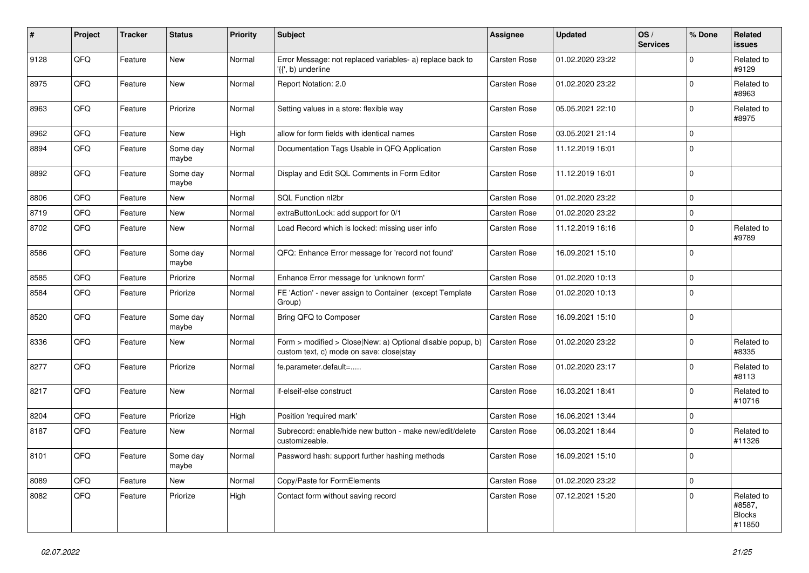| #    | Project | <b>Tracker</b> | <b>Status</b>     | <b>Priority</b> | <b>Subject</b>                                                                                         | <b>Assignee</b> | <b>Updated</b>   | OS/<br><b>Services</b> | % Done      | Related<br><b>issues</b>                        |
|------|---------|----------------|-------------------|-----------------|--------------------------------------------------------------------------------------------------------|-----------------|------------------|------------------------|-------------|-------------------------------------------------|
| 9128 | QFQ     | Feature        | <b>New</b>        | Normal          | Error Message: not replaced variables- a) replace back to<br>'{{', b) underline                        | Carsten Rose    | 01.02.2020 23:22 |                        | $\Omega$    | Related to<br>#9129                             |
| 8975 | QFQ     | Feature        | New               | Normal          | Report Notation: 2.0                                                                                   | Carsten Rose    | 01.02.2020 23:22 |                        | $\mathbf 0$ | Related to<br>#8963                             |
| 8963 | QFQ     | Feature        | Priorize          | Normal          | Setting values in a store: flexible way                                                                | Carsten Rose    | 05.05.2021 22:10 |                        | $\Omega$    | Related to<br>#8975                             |
| 8962 | QFQ     | Feature        | New               | High            | allow for form fields with identical names                                                             | Carsten Rose    | 03.05.2021 21:14 |                        | $\mathbf 0$ |                                                 |
| 8894 | QFQ     | Feature        | Some day<br>maybe | Normal          | Documentation Tags Usable in QFQ Application                                                           | Carsten Rose    | 11.12.2019 16:01 |                        | $\Omega$    |                                                 |
| 8892 | QFQ     | Feature        | Some day<br>maybe | Normal          | Display and Edit SQL Comments in Form Editor                                                           | Carsten Rose    | 11.12.2019 16:01 |                        | l 0         |                                                 |
| 8806 | QFQ     | Feature        | <b>New</b>        | Normal          | SQL Function nl2br                                                                                     | Carsten Rose    | 01.02.2020 23:22 |                        | $\mathbf 0$ |                                                 |
| 8719 | QFQ     | Feature        | New               | Normal          | extraButtonLock: add support for 0/1                                                                   | Carsten Rose    | 01.02.2020 23:22 |                        | $\mathbf 0$ |                                                 |
| 8702 | QFQ     | Feature        | New               | Normal          | Load Record which is locked: missing user info                                                         | Carsten Rose    | 11.12.2019 16:16 |                        | $\Omega$    | Related to<br>#9789                             |
| 8586 | QFQ     | Feature        | Some day<br>maybe | Normal          | QFQ: Enhance Error message for 'record not found'                                                      | Carsten Rose    | 16.09.2021 15:10 |                        | $\Omega$    |                                                 |
| 8585 | QFQ     | Feature        | Priorize          | Normal          | Enhance Error message for 'unknown form'                                                               | Carsten Rose    | 01.02.2020 10:13 |                        | $\mathbf 0$ |                                                 |
| 8584 | QFQ     | Feature        | Priorize          | Normal          | FE 'Action' - never assign to Container (except Template)<br>Group)                                    | Carsten Rose    | 01.02.2020 10:13 |                        | $\Omega$    |                                                 |
| 8520 | QFQ     | Feature        | Some day<br>maybe | Normal          | Bring QFQ to Composer                                                                                  | Carsten Rose    | 16.09.2021 15:10 |                        | l 0         |                                                 |
| 8336 | QFQ     | Feature        | <b>New</b>        | Normal          | Form > modified > Close New: a) Optional disable popup, b)<br>custom text, c) mode on save: close stay | Carsten Rose    | 01.02.2020 23:22 |                        | $\Omega$    | Related to<br>#8335                             |
| 8277 | QFQ     | Feature        | Priorize          | Normal          | fe.parameter.default=                                                                                  | Carsten Rose    | 01.02.2020 23:17 |                        | $\Omega$    | Related to<br>#8113                             |
| 8217 | QFQ     | Feature        | <b>New</b>        | Normal          | if-elseif-else construct                                                                               | Carsten Rose    | 16.03.2021 18:41 |                        | $\Omega$    | Related to<br>#10716                            |
| 8204 | QFQ     | Feature        | Priorize          | High            | Position 'required mark'                                                                               | Carsten Rose    | 16.06.2021 13:44 |                        | $\mathbf 0$ |                                                 |
| 8187 | QFQ     | Feature        | New               | Normal          | Subrecord: enable/hide new button - make new/edit/delete<br>customizeable.                             | Carsten Rose    | 06.03.2021 18:44 |                        | $\Omega$    | Related to<br>#11326                            |
| 8101 | QFQ     | Feature        | Some day<br>maybe | Normal          | Password hash: support further hashing methods                                                         | Carsten Rose    | 16.09.2021 15:10 |                        | l O         |                                                 |
| 8089 | QFQ     | Feature        | New               | Normal          | Copy/Paste for FormElements                                                                            | Carsten Rose    | 01.02.2020 23:22 |                        | $\Omega$    |                                                 |
| 8082 | QFQ     | Feature        | Priorize          | High            | Contact form without saving record                                                                     | Carsten Rose    | 07.12.2021 15:20 |                        | $\Omega$    | Related to<br>#8587,<br><b>Blocks</b><br>#11850 |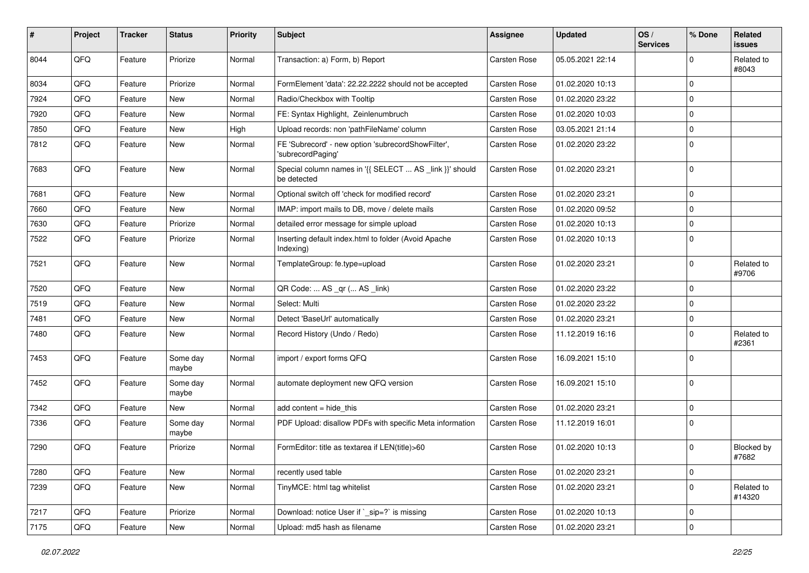| #    | Project | <b>Tracker</b> | <b>Status</b>     | <b>Priority</b> | Subject                                                                 | <b>Assignee</b> | <b>Updated</b>   | OS/<br><b>Services</b> | % Done       | Related<br>issues    |
|------|---------|----------------|-------------------|-----------------|-------------------------------------------------------------------------|-----------------|------------------|------------------------|--------------|----------------------|
| 8044 | QFQ     | Feature        | Priorize          | Normal          | Transaction: a) Form, b) Report                                         | Carsten Rose    | 05.05.2021 22:14 |                        | <sup>0</sup> | Related to<br>#8043  |
| 8034 | QFQ     | Feature        | Priorize          | Normal          | FormElement 'data': 22.22.2222 should not be accepted                   | Carsten Rose    | 01.02.2020 10:13 |                        | $\Omega$     |                      |
| 7924 | QFQ     | Feature        | New               | Normal          | Radio/Checkbox with Tooltip                                             | Carsten Rose    | 01.02.2020 23:22 |                        | $\Omega$     |                      |
| 7920 | QFQ     | Feature        | New               | Normal          | FE: Syntax Highlight, Zeinlenumbruch                                    | Carsten Rose    | 01.02.2020 10:03 |                        | 0            |                      |
| 7850 | QFQ     | Feature        | <b>New</b>        | High            | Upload records: non 'pathFileName' column                               | Carsten Rose    | 03.05.2021 21:14 |                        | 0            |                      |
| 7812 | QFQ     | Feature        | New               | Normal          | FE 'Subrecord' - new option 'subrecordShowFilter',<br>'subrecordPaging' | Carsten Rose    | 01.02.2020 23:22 |                        | $\mathbf 0$  |                      |
| 7683 | QFQ     | Feature        | New               | Normal          | Special column names in '{{ SELECT  AS _link }}' should<br>be detected  | Carsten Rose    | 01.02.2020 23:21 |                        | 0            |                      |
| 7681 | QFQ     | Feature        | New               | Normal          | Optional switch off 'check for modified record'                         | Carsten Rose    | 01.02.2020 23:21 |                        | $\Omega$     |                      |
| 7660 | QFQ     | Feature        | New               | Normal          | IMAP: import mails to DB, move / delete mails                           | Carsten Rose    | 01.02.2020 09:52 |                        | 0            |                      |
| 7630 | QFQ     | Feature        | Priorize          | Normal          | detailed error message for simple upload                                | Carsten Rose    | 01.02.2020 10:13 |                        | 0            |                      |
| 7522 | QFQ     | Feature        | Priorize          | Normal          | Inserting default index.html to folder (Avoid Apache<br>Indexing)       | Carsten Rose    | 01.02.2020 10:13 |                        | $\Omega$     |                      |
| 7521 | QFQ     | Feature        | New               | Normal          | TemplateGroup: fe.type=upload                                           | Carsten Rose    | 01.02.2020 23:21 |                        | $\Omega$     | Related to<br>#9706  |
| 7520 | QFQ     | Feature        | New               | Normal          | QR Code:  AS _qr ( AS _link)                                            | Carsten Rose    | 01.02.2020 23:22 |                        | $\Omega$     |                      |
| 7519 | QFQ     | Feature        | <b>New</b>        | Normal          | Select: Multi                                                           | Carsten Rose    | 01.02.2020 23:22 |                        | $\mathbf 0$  |                      |
| 7481 | QFQ     | Feature        | <b>New</b>        | Normal          | Detect 'BaseUrl' automatically                                          | Carsten Rose    | 01.02.2020 23:21 |                        | 0            |                      |
| 7480 | QFQ     | Feature        | New               | Normal          | Record History (Undo / Redo)                                            | Carsten Rose    | 11.12.2019 16:16 |                        | 0            | Related to<br>#2361  |
| 7453 | QFQ     | Feature        | Some day<br>maybe | Normal          | import / export forms QFQ                                               | Carsten Rose    | 16.09.2021 15:10 |                        | $\mathbf 0$  |                      |
| 7452 | QFQ     | Feature        | Some day<br>maybe | Normal          | automate deployment new QFQ version                                     | Carsten Rose    | 16.09.2021 15:10 |                        | $\mathbf 0$  |                      |
| 7342 | QFQ     | Feature        | New               | Normal          | add content $=$ hide this                                               | Carsten Rose    | 01.02.2020 23:21 |                        | 0            |                      |
| 7336 | QFQ     | Feature        | Some day<br>maybe | Normal          | PDF Upload: disallow PDFs with specific Meta information                | Carsten Rose    | 11.12.2019 16:01 |                        | $\Omega$     |                      |
| 7290 | QFQ     | Feature        | Priorize          | Normal          | FormEditor: title as textarea if LEN(title)>60                          | Carsten Rose    | 01.02.2020 10:13 |                        | $\Omega$     | Blocked by<br>#7682  |
| 7280 | QFQ     | Feature        | New               | Normal          | recently used table                                                     | Carsten Rose    | 01.02.2020 23:21 |                        | 0            |                      |
| 7239 | QFQ     | Feature        | New               | Normal          | TinyMCE: html tag whitelist                                             | Carsten Rose    | 01.02.2020 23:21 |                        | $\mathbf 0$  | Related to<br>#14320 |
| 7217 | QFQ     | Feature        | Priorize          | Normal          | Download: notice User if ` sip=?` is missing                            | Carsten Rose    | 01.02.2020 10:13 |                        | 0            |                      |
| 7175 | QFQ     | Feature        | New               | Normal          | Upload: md5 hash as filename                                            | Carsten Rose    | 01.02.2020 23:21 |                        | $\mathbf 0$  |                      |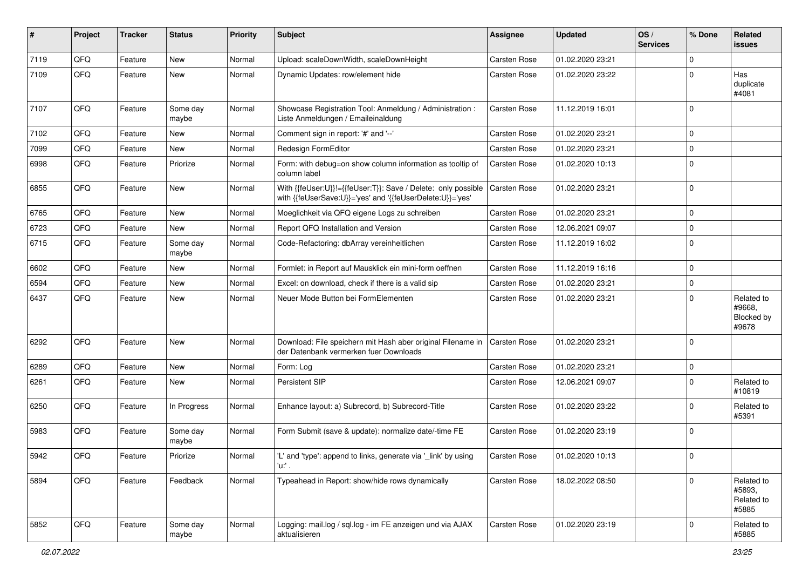| #    | Project | <b>Tracker</b> | <b>Status</b>     | <b>Priority</b> | <b>Subject</b>                                                                                                             | <b>Assignee</b> | <b>Updated</b>   | OS/<br><b>Services</b> | % Done         | Related<br><b>issues</b>                    |
|------|---------|----------------|-------------------|-----------------|----------------------------------------------------------------------------------------------------------------------------|-----------------|------------------|------------------------|----------------|---------------------------------------------|
| 7119 | QFQ     | Feature        | <b>New</b>        | Normal          | Upload: scaleDownWidth, scaleDownHeight                                                                                    | Carsten Rose    | 01.02.2020 23:21 |                        | $\Omega$       |                                             |
| 7109 | QFQ     | Feature        | <b>New</b>        | Normal          | Dynamic Updates: row/element hide                                                                                          | Carsten Rose    | 01.02.2020 23:22 |                        | 0              | Has<br>duplicate<br>#4081                   |
| 7107 | QFQ     | Feature        | Some day<br>maybe | Normal          | Showcase Registration Tool: Anmeldung / Administration :<br>Liste Anmeldungen / Emaileinaldung                             | Carsten Rose    | 11.12.2019 16:01 |                        | $\Omega$       |                                             |
| 7102 | QFQ     | Feature        | New               | Normal          | Comment sign in report: '#' and '--'                                                                                       | Carsten Rose    | 01.02.2020 23:21 |                        | 0              |                                             |
| 7099 | QFQ     | Feature        | New               | Normal          | Redesign FormEditor                                                                                                        | Carsten Rose    | 01.02.2020 23:21 |                        | $\Omega$       |                                             |
| 6998 | QFQ     | Feature        | Priorize          | Normal          | Form: with debug=on show column information as tooltip of<br>column label                                                  | Carsten Rose    | 01.02.2020 10:13 |                        | $\Omega$       |                                             |
| 6855 | QFQ     | Feature        | New               | Normal          | With {{feUser:U}}!={{feUser:T}}: Save / Delete: only possible<br>with {{feUserSave:U}}='yes' and '{{feUserDelete:U}}='yes' | Carsten Rose    | 01.02.2020 23:21 |                        | $\mathbf 0$    |                                             |
| 6765 | QFQ     | Feature        | <b>New</b>        | Normal          | Moeglichkeit via QFQ eigene Logs zu schreiben                                                                              | Carsten Rose    | 01.02.2020 23:21 |                        | 0              |                                             |
| 6723 | QFQ     | Feature        | <b>New</b>        | Normal          | Report QFQ Installation and Version                                                                                        | Carsten Rose    | 12.06.2021 09:07 |                        | 0              |                                             |
| 6715 | QFQ     | Feature        | Some day<br>maybe | Normal          | Code-Refactoring: dbArray vereinheitlichen                                                                                 | Carsten Rose    | 11.12.2019 16:02 |                        | $\mathbf 0$    |                                             |
| 6602 | QFQ     | Feature        | <b>New</b>        | Normal          | Formlet: in Report auf Mausklick ein mini-form oeffnen                                                                     | Carsten Rose    | 11.12.2019 16:16 |                        | 0              |                                             |
| 6594 | QFQ     | Feature        | New               | Normal          | Excel: on download, check if there is a valid sip                                                                          | Carsten Rose    | 01.02.2020 23:21 |                        | $\Omega$       |                                             |
| 6437 | QFQ     | Feature        | New               | Normal          | Neuer Mode Button bei FormElementen                                                                                        | Carsten Rose    | 01.02.2020 23:21 |                        | $\Omega$       | Related to<br>#9668,<br>Blocked by<br>#9678 |
| 6292 | QFQ     | Feature        | <b>New</b>        | Normal          | Download: File speichern mit Hash aber original Filename in<br>der Datenbank vermerken fuer Downloads                      | Carsten Rose    | 01.02.2020 23:21 |                        | $\Omega$       |                                             |
| 6289 | QFQ     | Feature        | <b>New</b>        | Normal          | Form: Log                                                                                                                  | Carsten Rose    | 01.02.2020 23:21 |                        | 0              |                                             |
| 6261 | QFQ     | Feature        | New               | Normal          | Persistent SIP                                                                                                             | Carsten Rose    | 12.06.2021 09:07 |                        | $\Omega$       | Related to<br>#10819                        |
| 6250 | QFQ     | Feature        | In Progress       | Normal          | Enhance layout: a) Subrecord, b) Subrecord-Title                                                                           | Carsten Rose    | 01.02.2020 23:22 |                        | 0              | Related to<br>#5391                         |
| 5983 | QFQ     | Feature        | Some day<br>maybe | Normal          | Form Submit (save & update): normalize date/-time FE                                                                       | Carsten Rose    | 01.02.2020 23:19 |                        | 0              |                                             |
| 5942 | QFQ     | Feature        | Priorize          | Normal          | 'L' and 'type': append to links, generate via '_link' by using<br>'u:' .                                                   | Carsten Rose    | 01.02.2020 10:13 |                        | $\overline{0}$ |                                             |
| 5894 | QFQ     | Feature        | Feedback          | Normal          | Typeahead in Report: show/hide rows dynamically                                                                            | Carsten Rose    | 18.02.2022 08:50 |                        | $\Omega$       | Related to<br>#5893,<br>Related to<br>#5885 |
| 5852 | QFQ     | Feature        | Some day<br>maybe | Normal          | Logging: mail.log / sql.log - im FE anzeigen und via AJAX<br>aktualisieren                                                 | Carsten Rose    | 01.02.2020 23:19 |                        | 0              | Related to<br>#5885                         |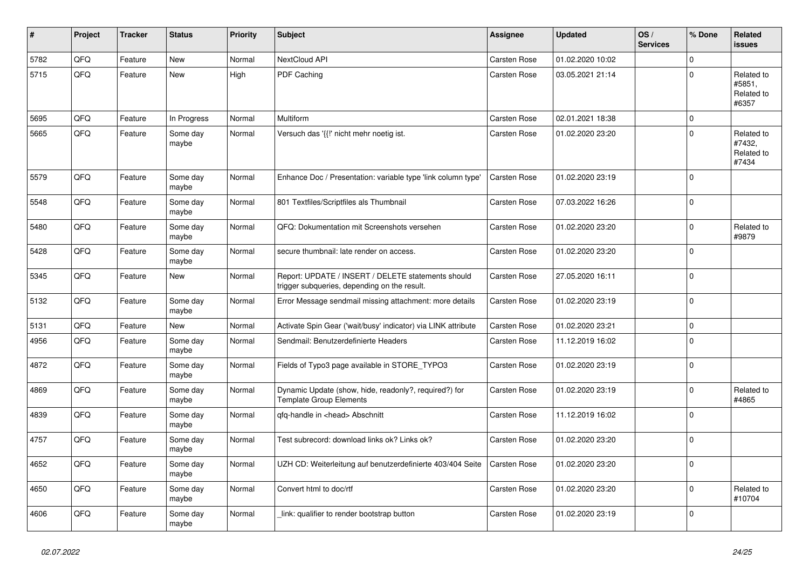| $\vert$ # | <b>Project</b> | <b>Tracker</b> | <b>Status</b>     | <b>Priority</b> | <b>Subject</b>                                                                                     | Assignee     | <b>Updated</b>   | OS/<br><b>Services</b> | % Done      | Related<br><b>issues</b>                    |
|-----------|----------------|----------------|-------------------|-----------------|----------------------------------------------------------------------------------------------------|--------------|------------------|------------------------|-------------|---------------------------------------------|
| 5782      | QFQ            | Feature        | <b>New</b>        | Normal          | NextCloud API                                                                                      | Carsten Rose | 01.02.2020 10:02 |                        | $\mathbf 0$ |                                             |
| 5715      | QFQ            | Feature        | <b>New</b>        | High            | PDF Caching                                                                                        | Carsten Rose | 03.05.2021 21:14 |                        | $\mathbf 0$ | Related to<br>#5851,<br>Related to<br>#6357 |
| 5695      | QFQ            | Feature        | In Progress       | Normal          | Multiform                                                                                          | Carsten Rose | 02.01.2021 18:38 |                        | $\mathbf 0$ |                                             |
| 5665      | QFQ            | Feature        | Some day<br>maybe | Normal          | Versuch das '{{!' nicht mehr noetig ist.                                                           | Carsten Rose | 01.02.2020 23:20 |                        | $\mathbf 0$ | Related to<br>#7432,<br>Related to<br>#7434 |
| 5579      | QFQ            | Feature        | Some day<br>maybe | Normal          | Enhance Doc / Presentation: variable type 'link column type'                                       | Carsten Rose | 01.02.2020 23:19 |                        | $\mathbf 0$ |                                             |
| 5548      | QFQ            | Feature        | Some day<br>maybe | Normal          | 801 Textfiles/Scriptfiles als Thumbnail                                                            | Carsten Rose | 07.03.2022 16:26 |                        | $\Omega$    |                                             |
| 5480      | QFQ            | Feature        | Some day<br>maybe | Normal          | QFQ: Dokumentation mit Screenshots versehen                                                        | Carsten Rose | 01.02.2020 23:20 |                        | $\mathbf 0$ | Related to<br>#9879                         |
| 5428      | QFQ            | Feature        | Some day<br>maybe | Normal          | secure thumbnail: late render on access.                                                           | Carsten Rose | 01.02.2020 23:20 |                        | $\mathbf 0$ |                                             |
| 5345      | QFQ            | Feature        | <b>New</b>        | Normal          | Report: UPDATE / INSERT / DELETE statements should<br>trigger subgueries, depending on the result. | Carsten Rose | 27.05.2020 16:11 |                        | $\Omega$    |                                             |
| 5132      | QFQ            | Feature        | Some day<br>maybe | Normal          | Error Message sendmail missing attachment: more details                                            | Carsten Rose | 01.02.2020 23:19 |                        | $\Omega$    |                                             |
| 5131      | QFQ            | Feature        | <b>New</b>        | Normal          | Activate Spin Gear ('wait/busy' indicator) via LINK attribute                                      | Carsten Rose | 01.02.2020 23:21 |                        | $\mathbf 0$ |                                             |
| 4956      | QFQ            | Feature        | Some day<br>maybe | Normal          | Sendmail: Benutzerdefinierte Headers                                                               | Carsten Rose | 11.12.2019 16:02 |                        | $\Omega$    |                                             |
| 4872      | QFG            | Feature        | Some day<br>maybe | Normal          | Fields of Typo3 page available in STORE_TYPO3                                                      | Carsten Rose | 01.02.2020 23:19 |                        | $\mathbf 0$ |                                             |
| 4869      | QFQ            | Feature        | Some day<br>maybe | Normal          | Dynamic Update (show, hide, readonly?, required?) for<br><b>Template Group Elements</b>            | Carsten Rose | 01.02.2020 23:19 |                        | $\Omega$    | Related to<br>#4865                         |
| 4839      | QFQ            | Feature        | Some day<br>maybe | Normal          | gfg-handle in <head> Abschnitt</head>                                                              | Carsten Rose | 11.12.2019 16:02 |                        | $\mathbf 0$ |                                             |
| 4757      | QFQ            | Feature        | Some day<br>maybe | Normal          | Test subrecord: download links ok? Links ok?                                                       | Carsten Rose | 01.02.2020 23:20 |                        | $\mathbf 0$ |                                             |
| 4652      | QFQ            | Feature        | Some day<br>maybe | Normal          | UZH CD: Weiterleitung auf benutzerdefinierte 403/404 Seite                                         | Carsten Rose | 01.02.2020 23:20 |                        | $\Omega$    |                                             |
| 4650      | QFQ            | Feature        | Some day<br>maybe | Normal          | Convert html to doc/rtf                                                                            | Carsten Rose | 01.02.2020 23:20 |                        | $\mathbf 0$ | Related to<br>#10704                        |
| 4606      | QFQ            | Feature        | Some day<br>maybe | Normal          | link: qualifier to render bootstrap button                                                         | Carsten Rose | 01.02.2020 23:19 |                        | $\mathbf 0$ |                                             |